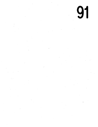91

 $\label{eq:2.1} \mathcal{L}(\mathcal{L}) = \mathcal{L}(\mathcal{L}) \mathcal{L}(\mathcal{L})$ 

 $\frac{1}{2} \sum_{i=1}^{n} \frac{1}{i} \sum_{j=1}^{n} \frac{1}{j} \sum_{j=1}^{n} \frac{1}{j} \sum_{j=1}^{n} \frac{1}{j} \sum_{j=1}^{n} \frac{1}{j} \sum_{j=1}^{n} \frac{1}{j} \sum_{j=1}^{n} \frac{1}{j} \sum_{j=1}^{n} \frac{1}{j} \sum_{j=1}^{n} \frac{1}{j} \sum_{j=1}^{n} \frac{1}{j} \sum_{j=1}^{n} \frac{1}{j} \sum_{j=1}^{n} \frac{1}{j} \sum_{j=1}^{n$  $\hat{\mathcal{L}}$ 

 $\mathcal{L}_{\mathcal{S}}$  $\mathcal{A}^{\text{max}}_{\text{max}}$  and  $\mathcal{A}^{\text{max}}_{\text{max}}$ 

 $\label{eq:2.1} \frac{1}{\sqrt{2}}\int_{\mathbb{R}^3}\frac{1}{\sqrt{2}}\left(\frac{1}{\sqrt{2}}\right)^2\frac{1}{\sqrt{2}}\left(\frac{1}{\sqrt{2}}\right)^2\frac{1}{\sqrt{2}}\left(\frac{1}{\sqrt{2}}\right)^2\frac{1}{\sqrt{2}}\left(\frac{1}{\sqrt{2}}\right)^2.$  $\sigma_{\rm{max}}$  $\mathcal{A}^{\mathcal{A}}$ 

 $\frac{1}{2}$ 

 $\label{eq:2.1} \frac{1}{\sqrt{2}}\sum_{i=1}^n\frac{1}{\sqrt{2}}\sum_{i=1}^n\frac{1}{\sqrt{2}}\sum_{i=1}^n\frac{1}{\sqrt{2}}\sum_{i=1}^n\frac{1}{\sqrt{2}}\sum_{i=1}^n\frac{1}{\sqrt{2}}\sum_{i=1}^n\frac{1}{\sqrt{2}}\sum_{i=1}^n\frac{1}{\sqrt{2}}\sum_{i=1}^n\frac{1}{\sqrt{2}}\sum_{i=1}^n\frac{1}{\sqrt{2}}\sum_{i=1}^n\frac{1}{\sqrt{2}}\sum_{i=1}^n\frac$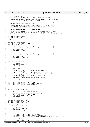## Registered Version: Dynamic Probes **dprobes\_hooks.c** Exhibit 7.1−1 pg 1/2

 $1 /$ <sup>2</sup> \* IBM Dynamic Probes <sup>3</sup> \* Copyright (c) International Business Machines Corp., 2000 <sup>4</sup> \* <sup>5</sup> \* This program is free software; you can redistribute it and/or modify <sup>6</sup> \* it under the terms of the GNU General Public License as published by <sup>7</sup> \* the Free Software Foundation; either version 2 of the License, or <sup>8</sup> \* (at your option) any later version. \* \* This program is distributed in the hope that it will be useful,<br>" \* but WITHOUT ANY WARRANTY; without even the implied warranty of<br>" \* MERCHANTABILITY or FITNESS FOR A PARTICULAR PURPOSE. See the<br>" GNU General Public L  $\frac{14}{15}$ <sup>15</sup> \* You should have received a copy of the GNU General Public License <sup>16</sup> \* along with this program; if not, write to the Free Software <sup>17</sup> \* Foundation, Inc., 59 Temple Place − Suite 330, Boston, MA 02111−1307, USA.  $18$ <br>19 #include <linux/dprobes.h> <sup>20</sup> **#include** <linux/hook.h> 21 22 void dprobes hooks code start(void)  $\{ \}$ 23 24 USE\_HOOK(SYS\_INIT\_MODULE);<br>25 USE\_HOOK(SYS\_INIT\_MODULE\_E USE\_HOOK(SYS\_INIT\_MODULE\_ERROR); <sup>26</sup> USE\_HOOK(FREE\_MODULE); 27 <sup>28</sup> **static** int insmod\_exit(hook\_rec\_t \* hookrec, struct module \* mod)  $29 \begin{matrix} 29 \\ 30 \end{matrix}$ <sup>30</sup> dp\_insmod(mod); 31 **return** HOOK\_CONTINUE;  $\rightarrow$ 33 <sup>34</sup> **static** int remmod\_exit(hook\_rec\_t \* hookrec, struct module \* mod)  $\begin{matrix}\n 35 \\
 36\n \end{matrix}$ <sup>36</sup> dp\_remmod(mod); 37 **return** HOOK\_CONTINUE;  $\{$ 39 <sup>40</sup> int initialise\_dprobes\_hooks()  $\frac{41}{42}$ int retval; <sup>43</sup> **static** int done = 0; <sup>44</sup> **if** (done) return 0;  $46$  done = 1; 47 48 **if** ((retval = hook\_initialise(SYS\_INIT\_MODULE))) 49 **goto** err;<br>50 **if** ((retval = hoo <sup>50</sup> **if** ((retval = hook\_initialise(SYS\_INIT\_MODULE\_ERROR))) <sup>51</sup> **goto** err1; 52 **if** ((retval = hook\_initialise(FREE\_MODULE)))<br>53 **goto** err2; <sup>53</sup> **goto** err2; 54 **if** ((retval = initialise\_asm\_dprobes\_hooks())) <sup>55</sup> **goto** err3; <sup>56</sup> **return** 0; 57 58 err3: hook\_terminate(FREE\_MODULE, 0);<br>59 err2: hook terminate(SYS\_INIT\_MODULE <sup>59</sup> err2: hook\_terminate(SYS\_INIT\_MODULE\_ERROR, 0); hook\_terminate(SYS\_INIT\_MODULE, 0); <sup>61</sup> err: **return** retval;  $62 \quad \}$ 63 int terminate\_dprobes\_hooks()  $\begin{matrix}\n65 \\
66\n\end{matrix}$ es<br>
66 hook\_terminate(SYS\_INIT\_MODULE, 0);<br>
67 hook terminate(SYS\_INIT\_MODULE\_ERRO 67 hook\_terminate(SYS\_INIT\_MODULE\_ERROR, 0);<br>68 hook terminate(FREE MODULE, 0);  $hook_{\text{terminate}}(FREE_MODULE, 0);$ 69 terminate\_asm\_dprobes\_hooks();<br>return 0; <sup>70</sup> **return** 0; <sup>71</sup> } 72 73 hook\_rec\_t insmod\_hook\_rec;<br>74 hook\_rec\_t insmod\_err\_hook\_ hook\_rec\_t insmod\_err\_hook\_rec; <sup>75</sup> hook\_rec\_t remmod\_hook\_rec; 76  $77$  int register\_dprobes\_hooks()<br> $78$  { <sup>78</sup> {  $int$  retval; 80 **static** *int* done = 0;<br>81 **if** (done) if (done)  $\begin{array}{ll}\n 82 \\
 83\n \end{array}$  **return** 0;  $done = 1$ ; 84 <sup>85</sup> insmod\_hook\_rec.hook\_exit = insmod\_exit; <sup>86</sup> insmod\_hook\_rec.hook\_exit\_name = "dp\_insmod\_exit"; <sup>87</sup> **if** ((retval = hook\_exit\_register(SYS\_INIT\_MODULE, &insmod\_hook\_rec, 0))) <sup>88</sup> **goto** err; 89 <sup>90</sup> insmod\_err\_hook\_rec.hook\_exit = remmod\_exit;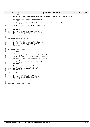```
91 insmod_hook_rec.hook_exit_name = "dp_remmod_exit";
92 if ((retval = hook_exit_register(SYS_INIT_MODULE_ERROR, &insmod_err_hook_rec, 0)))
93 goto err1;
94
95 remmod_hook_rec.hook_exit = remmod_exit;
96 insmod_hook_rec.hook_exit_name = "dp_remmod_exit";
97 if ((retval = hook_exit_register(FREE_MODULE, &remmod_hook_rec, 0)))<br>98 goto err2;
                         98 goto err2;
99
100 if ((retval = register_asm_dprobes_hooks()))<br>
goto err3;
                         goto err3;
102
              return 0;
104
105 err3: hook_exit_deregister(&remmod_hook_rec);
106 err2: hook_exit_deregister(&insmod_err_hook_rec);
107 err1: hook_exit_deregister(&insmod_hook_rec);
108 err: return retval;<br>109 }
109 }
110
111 int deregister_dprobes_hooks()
112 {<br>113
113 hook_exit_deregister(&insmod_hook_rec);<br>114 hook_exit_deregister(&insmod_err_hook_r
114 hook_exit_deregister(&insmod_err_hook_rec);
115 hook_exit_deregister(&remmod_hook_rec);
116 deregister_asm_dprobes_hooks();
117 return 0;
118 }
119
120 int arm_all_dprobes_hooks()
\begin{matrix} 121 \\ 122 \end{matrix}int retval;
123
124 if ((retval = hook_exit_arm(&insmod_hook_rec)))<br>125 goto err;
125 goto err;
126 if ((retval = hook_exit_arm(&insmod_err_hook_rec)))
127 goto err1;<br>128 if ((retval = hook
128 if ((retval = hook_exit_arm(&remmod_hook_rec)))<br>129 goto err2;
129 goto err2;<br>
130 if ((retval = arm
              if ((retval = arm\_all\_asm\_dprobes\_hooks()))
131 goto err3;
132 return 0;
133
134 err3: hook_exit_disarm(&remmod_hook_rec);
135 err2: hook_exit_disarm(&insmod_err_hook_rec);
136 err1: hook_exit_disarm(&insmod_hook_rec);
137 err: return retval;
138 }
139
140 int disarm_all_dprobes_hooks()
    \{142 hook_exit_disarm(&remmod_hook_rec);<br>143 hook_exit_disarm(&insmod_err_hook_r
143 hook_exit_disarm(&insmod_err_hook_rec);<br>144 hook_exit_disarm(&insmod_hook_rec);
144 hook_exit_disarm(&insmod_hook_rec);
145 disarm_all_asm_dprobes_hooks();
146 return 0;<br>147 }
147 }
148
149 void dprobes_hooks_code_end(void) { }
Registered Version: Dynamic Probes dprobes_hooks.c Exhibit 7.1−1 pg 2/2
```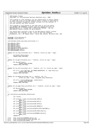## Registered Version: Dynamic Probes **dprobes\_hooks.c** Exhibit 7.1−2 pg 1/3

```
\frac{1}{1}2 * IBM Dynamic Probes
3 * Copyright (c) International Business Machines Corp., 2000
 4 *
 5 * This program is free software; you can redistribute it and/or modify
6 * it under the terms of the GNU General Public License as published by
7 * the Free Software Foundation; either version 2 of the License, or
8 * (at your option) any later version.
* * This program is distributed in the hope that it will be useful,<br>" * but WITHOUT ANY WARRANTY; without even the implied warranty of<br>" * MERCHANTABILITY or FITNESS FOR A PARTICULAR PURPOSE. See the<br>" GNU General Public L
\frac{14}{15}15 * You should have received a copy of the GNU General Public License
16 * along with this program; if not, write to the Free Software
17 * Foundation, Inc., 59 Temple Place − Suite 330, Boston, MA 02111−1307, USA.
18 * /19
20 #include <linux/dprobes.h>
21 #include <linux/hook.h>
22
23 void dprobes_hooks_asm_code_start(void) { }
24
25 USE_HOOK(DO_TRAP);
26 USE_HOOK(DO_GPF);
27 USE_HOOK(DO_INT3);
28 USE_HOOK(DO_DEBUG);
29 USE_HOOK(MATH_STATE_RESTORE);<br>30 USE_HOOK(DO_PAGE_FAULT);
    USE_HOOK(DO_PAGE_FAULT);
31 USE HOOK(DPROBES CALLK);
32
33 static int do_trap_exit(hook_rec_t * hookrec, struct pt_regs * regs)
\begin{matrix}\n34 \\
35\n\end{matrix}35 dp_handle_fault(regs);<br>36 return HOOK CONTINUE;
              36 return HOOK_CONTINUE;
37 }
38
39 static int do_gpf_exit(hook_rec_t * hookrec, struct pt_regs * regs)
4041 if (dp_gpf(regs))<br>42 return HO
                         42 return HOOK_RETURN;
43 return HOOK_CONTINUE;
    \left\{\right\}45
46 static int do_int3_exit(hook_rec_t * hookrec, int *rc, struct pt_regs * regs)
\begin{matrix} 47 & \{ \\ 48 & \end{matrix}48 if ((*rc = dp_trap(regs, DP_PROBE_BREAKPOINT, 0, regs−>eip−1)))
                         49 return HOOK_RETURN;
50 return HOOK_CONTINUE;
51 }
52
    static int do_debug_exit(hook_rec_t * hookrec, int *rc,
54 struct pt_regs * regs, unsigned long condition)
   \{56 if ((*rc = dp_do_debug(regs, condition)))<br>57 return HOOK RETURN;
                         57 return HOOK_RETURN;
58 return HOOK_CONTINUE;
    \left| \right|60
61 static int do_page_fault_exit(hook_rec_t * hookrec, struct pt_regs * regs)
\begin{matrix} 62 \\ 63 \end{matrix}63 if (dp_pf(regs))<br>64 return E
                         64 return HOOK_RETURN;
65 return HOOK_CONTINUE;
66 }
67
68 int initialise_asm_dprobes_hooks(void) 
69 {<br>70
              int retval;
71
72 if ((retval = hook_initialise(DO_TRAP)))<br>73 ooto err;
73 goto err;
74 if ((retval = hook_initialise(DO_GPF)))
75 goto err1;
76 if ((retval = hook_initialise(DO_INT3)))
77 goto err2;<br>78 if ((retval = hook
78 if ((retval = hook_initialise(DO_DEBUG)))<br>79 qoto err3;
                         79 goto err3;
80 if ((retval = hook_initialise(MATH_STATE_RESTORE)))
                         81 goto err4;
82 if ((retval = hook_initialise(DO_PAGE_FAULT)))
83 goto err5;<br>84 if ((retval = hook
84 if ((retval = hook_initialise(DPROBES_CALLK)))
                         85 goto err6;
86 return 0;
87
88 err6: hook_terminate(DPROBES_CALLK, 0);<br>89 err5: hook_terminate(MATH_STATE_RESTORE
              hook_terminate(MATH_STATE_RESTORE, 0);
90 err4: hook terminate(DO DEBUG, 0);
```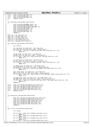```
91 err3: hook_terminate(DO_INT3, 0);
92 err2: hook_terminate(DO_GPF, 0);
93 err1: hook_terminate(DO_TRAP, 0);<br>94 err: return retval;
               return retval;
95 }
96
97 int terminate_asm_dprobes_hooks(void)
98 {
99 hook_terminate(DPROBES_CALLK, 0);<br>100 hook_terminate(DO_PAGE_FAULT, 0);
100 hook_terminate(DO_PAGE_FAULT, 0);<br>101 hook_terminate(MATH_STATE_RESTORE
101 hook_terminate(MATH_STATE_RESTORE, 0);
102 hook_terminate(DO_DEBUG, 0);
103 hook_terminate(DO_INT3, 0);
104 hook_terminate(DO_GPF, 0);<br>105 hook_terminate(DO_TRAP, 0)
               hook_terminate(DO_TRAP, 0);
106 return 0;
107
108 hook_rec_t do_trap_hook_rec;
109 hook_rec_t do_gpf_hook_rec;
110 hook_rec_t do_int3_hook_rec;
111 hook_rec_t do_debug_hook_rec;
112 hook_rec_t math_state_hook_rec;
    hook_rec_t do_page_fault_hook_rec;
114
115 int register_asm_dprobes_hooks(void)
116 {
117 int retval;
118
119 do_trap_hook_rec.hook_exit = do_trap_exit;<br>120 do_trap_hook_rec.hook_exit_name = "dp_do_trap_exit";<br>121 if ((retval = hook_exit_register(DO_TRAP, &do_trap_hook_rec, 0)))
122 goto err;
123<br>124124 do_gpf_hook_rec.hook_exit = do_gpf_exit;<br>125 do qpf hook rec.hook exit name = "dp do g
125 do_gpf_hook_rec.hook_exit_name = "dp_do_gpf_exit";
126 if ((retval = hook_exit_register(DO_GPF, &do_gpf_hook_rec, 0)))
127 goto err1;
128
129 do_int3_hook_rec.hook_exit = do_int3_exit;
130 do_int3_hook_rec.hook_exit_name = "dp_do_int3_exit";
131 if ((retval = hook_exit_register(DO_INT3, &do_int3_hook_rec, 0)))<br>132 goto err2;
                          goto err2;
133
134 do_debug_hook_rec.hook_exit = do_debug_exit;
135 do_debug_hook_rec.hook_exit_name = "dp_do_debug_exit";
136 if ((retval = hook_exit_register(DO_DEBUG, &do_debug_hook_rec, 0)))
137 goto err3;
138
139 math_state_hook_rec.hook_exit = do_trap_exit;<br>140 math state hook rec.hook exit name = "dp do tra
140 math_state_hook_rec.hook_exit_name = "dp_do_trap_exit";
141 if ((retval = hook_exit_register(MATH_STATE_RESTORE, &math_state_hook_rec, 0)))
142 goto err4;
143
144 do_page_fault_hook_rec.hook_exit = do_page_fault_exit;
145 do_page_fault_hook_rec.hook_exit_name = "dp_do_page_fault_exit";
146 if ((retval = hook_exit_register(DO_PAGE_FAULT, &do_page_fault_hook_rec, 0)))
147 goto err5;
148 return 0;
149
150 err5: hook_exit_deregister(&math_state_hook_rec);
151 err4: hook_exit_deregister(&do_debug_hook_rec);
152 err3: hook_exit_deregister(&do_int3_hook_rec);
153 err2: hook_exit_deregister(&do_gpf_hook_rec);
               hook_exit_deregister(&do_trap_hook_rec);
155 err: return retval;
156
157 }
158
159 int deregister_asm_dprobes_hooks(void)
160 {
161 hook_exit_deregister(&do_page_fault_hook_rec);<br>162 hook_exit_deregister(&math_state_hook_rec);
               hook_exit_deregister(&math_state_hook_rec);
163 hook_exit_deregister(&do_debug_hook_rec);<br>164 hook_exit_deregister(&do_int3_hook_rec);
               164 hook_exit_deregister(&do_int3_hook_rec);
165 hook_exit_deregister(&do_gpf_hook_rec);
166 hook_exit_deregister(&do_trap_hook_rec);
167 return 0;<br>168 }
    168 }
169
170 int arm_all_asm_dprobes_hooks(void)<br>171171 {
172 int retval;
173
174 if ((retval = hook_exit_arm(\&do_trap_hook_rec)))
                          175 goto err;
176 if ((retval = hook_exit_arm(&do_gpf_hook_rec)))<br>177 ooto err1;
177 goto err1<br>178 if ((retval = hoo)
178 if ((retval = hook_exit_arm(\&do_int3_hook_rec)))
                          goto err2;
180 if ((retval = hook_exit_arm(&do_debug_hook_rec)))
Registered Version: Dynamic Probes dprobes_hooks.c Exhibit 7.1−2 pg 2/3
```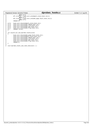|            |          | <b>Registered Version: Dynamic Probes</b>                       | dprobes |
|------------|----------|-----------------------------------------------------------------|---------|
| 181        |          | qoto err3;                                                      |         |
| 182        |          | <b>if</b> ((retval = hook exit arm( $\&$ math state hook rec))) |         |
| 183        |          | goto err4;                                                      |         |
| 184        |          | $if ((retval = hook\_exit\_arm(&do\_page\_fault\_hook)$         |         |
| 185        |          | goto err5;                                                      |         |
| 186        |          | return 0;                                                       |         |
| 187        |          |                                                                 |         |
| 188        | $err5$ : | hook_exit_disarm(&math_state_hook_rec);                         |         |
| 189        | $err4$ : | hook_exit_disarm(&do_debug_hook_rec);                           |         |
| 190        | $err3$ : | hook exit disarm(&do int3 hook rec);                            |         |
| 191        | $err2$ : | hook exit disarm(&do qpf hook rec);                             |         |
| 192        | $err1$ : | hook exit disarm(&do trap hook rec);                            |         |
| 193        | err:     | return retval;                                                  |         |
| 194        | ł        |                                                                 |         |
| 195<br>196 |          | int disarm_all_asm_dprobes_hooks(void)                          |         |
| 197        |          |                                                                 |         |
| 198        |          | hook_exit_disarm(&do_page_fault_hook_rec);                      |         |
| 199        |          | hook_exit_disarm(&math_state_hook_rec);                         |         |
| 200        |          | hook_exit_disarm(&do_debug_hook_rec);                           |         |
| 201        |          | hook exit disarm(&do int3 hook rec);                            |         |
| 202        |          | hook exit disarm(&do qpf hook rec);                             |         |
| 203        |          | hook exit disarm(&do trap hook rec);                            |         |
| 204        |          | return 0;                                                       |         |
| 205        |          |                                                                 |         |
| 206        |          |                                                                 |         |
| 207        |          | void dprobes_hooks_asm_code_end(void) $\{ \}$                   |         |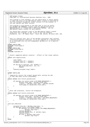```
\frac{1}{2}2 * IBM Dynamic Probes
3 * Copyright (c) International Business Machines Corp., 2000
 4 *
 5 * This program is free software; you can redistribute it and/or modify
6 * it under the terms of the GNU General Public License as published by
7 * the Free Software Foundation; either version 2 of the License, or 
8 * (at your option) any later version.
9 * 
10 * This program is distributed in the hope that it will be useful,
11 * but WITHOUT ANY WARRANTY; without even the implied warranty of
12 * MERCHANTABILITY or FITNESS FOR A PARTICULAR PURPOSE. See the
13 * GNU General Public License for more details.
14<br>1515 * You should have received a copy of the GNU General Public License
16 * along with this program; if not, write to the Free Software
17 * Foundation, Inc., 59 Temple Place − Suite 330, Boston, MA 02111−1307, USA. 
\frac{1}{18} */
19
20<br>21<sup>21</sup> * This is a special file, part of the dprobes interpreter that contains<br><sup>22</sup> * architecture-specific functions. It is not compiled as a seperate unit.<br><sup>23</sup> * It is #included into the arch-independent dprobes_in.c at a
24 * location.
25 */
26 #ifdef CONFIG_DUMP<br>27 #include <linux/dum
    27 #include <linux/dump.h>
28 #endif
29 #ifdef CONFIG_KDB<br>30 #include <linux/k
    30 #include <linux/kdb.h>
31 #endif
     32 #include <asm/desc.h>
33
\frac{34}{35}<sup>35</sup> * Convert segmented address (selector : offset) to flat linear address.<br>36 */
      \star37 static void seg2lin(void)
\begin{matrix}38\\39\end{matrix} \quad \begin{matrix} \phantom{0}\\ \phantom{0}\end{matrix}39 void *faddr;<br>40 mnsigned lon
40 unsigned long off = rpnpop();
41 unsigned long sel = rpnpop();
42
<sup>43</sup> if (dp_seg_to_flat(sel, off, &faddr)) {<br>44 den ex(EX SEG FAULT, sel, 0);
44 gen_ex(EX_SEG_FAULT, sel, 0);<br>
return;
                             45 return;
46 }
47 rpnpush((unsigned long) faddr);<br>
48 }
    \{ \}49
50 #ifdef CONFIG_KDB
51 /* 
52 * Temporarily restore the orignal opcode befor calling the kdb<br>53 * so that kdb shows correct disassembly.
      * so that kdb shows correct disassembly.
\begin{array}{ccc} 54 & & \star \end{array}55 static inline void restore_opcode(void)
\begin{matrix} 56 \\ 57 \end{matrix}57 if (dprobes.rec−>point.probe & DP_PROBE_BREAKPOINT) {
58 dprobes.reset_addr = dprobes.probe_addr;<br>
*((byte t *)dprobes.reset_addr) = dprobe
59 \star ((byte_t *)dprobes.reset_addr) = dprobes.opcode;<br>60 flush page to ram(dprobes.reset addr);
                             flush_page_to_ram(dprobes.reset_addr);
61 }
62 }
63
6465 * After kdb terminates, restore the breakpoint.
66 *67 static inline void restore_int3(void)
68 {
69 if (dprobes.rec−>point.probe & DP_PROBE_BREAKPOINT) {
                             dprobes.reset_addr = dprobes.probe_addr;
\begin{array}{rcl}\n\text{71} & \text{72} \\
\text{73} & \text{74} \\
\text{74} & \text{75} \\
\text{76} & \text{78}\n\end{array} \begin{array}{rcl}\n\text{77} & \text{78} \\
\text{78} & \text{79} \\
\text{79} & \text{70}\n\end{array}72 flush_page_to_ram(dprobes.reset_addr);<br>73 }
\begin{array}{c} 73 \\ 74 \end{array} }
    74 }
75
76 void call_kdb(void)
\begin{matrix} 77 & \{\\ 78 & \end{matrix}78 unsigned long eip = dprobes.regs−>eip − 1;
79 if (dprobes.status & DP_KERNEL_PROBE) {
80 if (dprobes.rec->point.probe & DP_PROBE_BREAKPOINT)<br>81 dprobes.reqs->eip--;
                                        81 dprobes.regs−>eip−−;
82 restore_opcode();<br>83 Rdb(KDB REASON CA
83 kdb(KDB_RERASON_CALL, 0, dprobes.regs);<br>84 restore int3();
84 restore_int3();<br>85 if (eip == dpro)
                             85 if (eip == dprobes.regs−>eip)
86 dprobes.regs−>eip++;
87 }
88 }
     89 #else
Registered Version: Dynamic Probes dprobes_in.c Exhibit 7.1−3 pg 1/10
```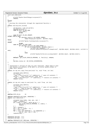91 void call\_kdb(void)  $92$ 93 printk ("Dprobes: Kernel Debugger is not present.\n");<br> **return**; <sup>94</sup> **return**; 95<br>96 <sup>96</sup> **#endif** 97 98 \* Exiting the interpreter through the registered facility n. 99<br>100 static void dp\_exit\_n(void)  $101 \quad \{$ <sup>102</sup> u8 facility = get\_u8\_oprnd(); <sup>103</sup> **switch**(facility) { <sup>104</sup> **case** DP\_EXIT\_TO\_SGI\_KDB: <sup>105</sup> call\_kdb(); <sup>106</sup> **break**; 107 <sup>108</sup> **case** DP\_EXIT\_TO\_SGI\_VMDUMP: #ifdef CONFIG\_DUMP <sup>110</sup> **if** (dprobes.status & DP\_KERNEL\_PROBE) <sup>111</sup> dump("Dumping due to dprobes", dprobes.regs); <sup>112</sup> **#else** 113 printk ("dprobes: Crash dump facility is not present.\n");<br>
114 **#endif** <sup>114</sup> **#endif** break; <sup>116</sup> **case** DP\_EXIT\_TO\_CORE\_DUMP: 117 **if** (dprobes.status & DP\_USER\_PROBE) { <sup>118</sup> **if** (do\_coredump(SIGINT, dprobes.regs)) { <sup>119</sup> current−>mm−>dumpable = 1; <sup>120</sup> printk("dprobes(%d,%d) process %s dumped core\n", dprobes.major, dprobes.minor, current−>c omm);  $\left\{\n \begin{array}{ccc}\n 1 & 2 & 1 \\
 1 & 2 & 3\n \end{array}\n \right\}$ <sup>122</sup> **else** 123 printk("dprobes(%d,%d) exit to core dump failed\n", dprobes.major, dprobes.minor);<br>124 }  $124$  } <sup>125</sup> **break**; <sup>126</sup> **default**: gen\_ex(EX\_INVALID\_OPERAND, 4, facility); **return**; 127 <sup>128</sup> }  $\phi$ dprobes.status &= ~DP\_STATUS\_INTERPRETER; <sup>130</sup> } 131 132<br>133 \* Interpreter's version of copy\_xxx\_user functions. These need to save <sup>134</sup> \* and restore cr2 contents to be able to correctly handle probes in 135 \* page fault handler. 136 <sup>137</sup> **static** int dp\_intr\_copy\_from\_user(void \*to, void \*from, int len) 138<br>139 unsigned long address; <sup>140</sup> int retval; 141  $\frac{\text{asm}}{\text{atm}}$  ("movl %%cr2,%0":"=r" (address)); /\* save cr2 contents \*/<br>142  $\frac{\text{atm}}{\text{atm}}$  = copy from user(to, from, len);  $\frac{1}{2}$  retval =  $\frac{1}{2}$  copy\_from\_user(to, from, len); 143  $\frac{1}{2}$   $\frac{1}{2}$   $\frac{1}{2}$   $\frac{1}{2}$   $\frac{1}{2}$   $\frac{1}{2}$   $\frac{1}{2}$   $\frac{1}{2}$   $\frac{1}{2}$   $\frac{1}{2}$   $\frac{1}{2}$   $\frac{1}{2}$   $\frac{1}{2}$   $\frac{1}{2}$   $\frac{1}{2}$   $\frac{1}{2}$   $\frac{1}{2}$   $\frac{1}{2}$   $\frac{1}{2}$   $\frac{1}{2}$   $\frac{1}{2}$   $\frac{1}{2$ <sup>144</sup> **return** retval; <sup>145</sup> } 146 <sup>147</sup> **static** int dp\_intr\_copy\_to\_user(void \*to, void \*from, int len) <sup>148</sup> { unsigned long address; <sup>150</sup> int retval; <sup>151</sup> \_\_asm\_\_("movl %%cr2,%0":"=r" (address)); /\* save cr2 contents \*/ <sup>152</sup> retval = \_\_copy\_to\_user(to, from, len); 152  $\frac{1}{\sqrt{2}}$   $\frac{1}{\sqrt{2}}$   $\frac{1}{\sqrt{2}}$   $\frac{1}{\sqrt{2}}$   $\frac{1}{\sqrt{2}}$   $\frac{1}{\sqrt{2}}$   $\frac{1}{\sqrt{2}}$   $\frac{1}{\sqrt{2}}$   $\frac{1}{\sqrt{2}}$   $\frac{1}{\sqrt{2}}$   $\frac{1}{\sqrt{2}}$   $\frac{1}{\sqrt{2}}$   $\frac{1}{\sqrt{2}}$   $\frac{1}{\sqrt{2}}$   $\frac{1}{\sqrt{2}}$   $\frac{1}{\sqrt{2}}$   $\frac{1}{\sqrt{$ <sup>154</sup> **return** retval;  $155$  } 156 <sup>157</sup> **#define** BITS\_IN\_UL 32 158 <sup>159</sup> **#define** PROPAGATE\_BIT(name, OPERATOR) \ 160 **static** void name( $\overline{void}$ ) \ 161  $\{ \ \ \ \ \ \ \ \ \$ 162 unsigned long index, num, pos, val;  $\setminus$  163 index = rpnpop(); \  $index = rppop(); \ \ \ \ \ \ \$ 164 **if** (!index || index > BITS\_IN\_UL) { \<br>165 gen\_ex(EX\_INVALID\_OPERAND, 3, index); \  $166$  **return**;  $\left\{\n \begin{array}{ccc}\n 167 & & & \n \end{array}\n \right\}\n \left\{\n \begin{array}{c}\n \text{168}\n \end{array}\n \right.$  $num = rpppop()$ ; \ 169 pos = 1UL << (index - 1); \<br>170 val = num & pos; \ 171 **for** (; pos; pos OPERATOR 1, val OPERATOR 1) \<br>
172 num &= ~pos, num |= val; \ 173 rpnpush(num);  $\setminus$  $\}$ 175 176 PROPAGATE\_BIT(pbl, <<=)<br>177 PROPAGATE\_BIT(pbr, >>=) PROPAGATE\_BIT(pbr, >>=) 178 <sup>179</sup> **#define** PROPAGATE\_BIT\_IMM(name, OPERATOR) \ Registered Version: Dynamic Probes **dprobes\_in.c** Exhibit 7.1−3 pg 2/10

./Dynamic\_probes/dprobes−v3.6.3−2.4.19\_CVS/usr/src/linux/drivers/dprobes/i386/dprobes\_in.c Page 7/32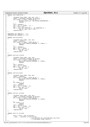```
180 static void name(void) \
181 \{ \ \ \}182 vansigned long index, num, pos, val;<br>183 index = (unsigned long)get_u8_oprnd
183 index = (unsigned long)get_u8_oprnd(); \<br>
184 if (!index || index > BITS_IN_UL) { \<br>
185 dprobes.status &= ~DP_STATUS_INTERPRETER; \
return; \setminus<br>187 \setminus\begin{array}{ccc} 187 & & & \\\hline 188 & & & \text{num} \end{array}188 num = rpnpop(); \<br>
189 pos = 1UL << (index - 1); \
190 val = num & pos; \<br>
for (; pos; pos OPERATOR 1, val OPERATOR 1) \<br>
num &= ~pos, num |= val; \
193 rpnpush(num); \setminus\}195
196 PROPAGATE_BIT_IMM(pbl_i, <<=)
197 PROPAGATE_BIT_IMM(pbr_i, >>=)
198
199 static void pzl(void) 
    \{201 unsigned long index, num, pos;<br>202 index = rpnpop();
%202 index = rpnpop();<br>
203 if (!index || index > BITS_IN_UL) {<br>
204 gen_ex(EX_INVALID_OPERAND, 3, index);
205 return;
206 }
                num = rpppop();
208 pos = 1\overline{UL} \le \overline{C} index;<br>
209 for (; pos; pos \le \overline{C}209 for (; pos; pos <<= 1)<br>
210 num &= ~pos;
211 rpnpush(num);
212 }
213
214 static void pzl_i(void)
    \{%16 unsigned long index, num, pos;<br>
217 index = (unsigned long)get_u8_oprnd();<br>
218 if (!index || index > BITS_IN_UL) {<br>
219 gen_ex(EX_INVALID_OPERAND, 3, index);<br>
return;
221 }
222 num = rpnpop();
223 pos = 1UL << index;
224 for (; pos; pos <<= 1)
225 num \&= \sim pos;<br>226 rppupush(num);226 rpnpush(num);
    \rightarrow228
229 static void pzr(void)
230 \frac{1}{2}231 unsigned long index, num, pos;<br>232 index = rpnpop();
232 index = rpnpop();<br>233 if (!index || ind
233 if (!index || index > BITS_IN_UL) {<br>234 gen_ex(EX_INVALID_OPERAND, 3, index);
235 return;
236 }
237 if (index == 1)<br>
238 return;
238 return;<br>239 return = rpppop();
239 num = rpnpop();
240 pos = 1UL << (index − 2);
241 for (; pos; pos >>= 1)<br>
242 num &= ~pos;
243 rpnpush(num);
244 }
245
246 static void pzr_i(void)
247 \begin{cases} 248 \end{cases}248 unsigned long index, num, pos;<br>249 index = (unsigned long)get u8
249 index = (unsigned long)get_u8_oprnd();
250 if (!index || index > BITS_IN_UL) {
251 gen_ex(EX_INVALID_OPERAND, 3, index);
252 return;
253 }
254 if (index == 1)
255 return;
256 num = rpnpop();<br>257 pos = 1UL << (i
257 pos = 1UL << (index - 2);<br>
258 for (; pos; pos >>= 1)
                258 for (; pos; pos >>= 1)
259 \begin{array}{c} \text{num} \&= \sim \text{pos} \, i \\ \text{260} \end{array}rpnpush(num);
261 }
262
263 static void ror_i(void)
264 {
265 byte_t count = get_u8_oprnd();<br>266 asm volatile ("rorl%%cl.
266 __asm__ __volatile__("rorl %%cl, %0" 
267 : "=m"(dprobes.rpn_stack[dprobes.rpn_tos])<br>
268 : "c"((unsigned long) count));
    : "c" ( (unsigned\ long)\ count))\,;269Registered Version: Dynamic Probes dprobes_in.c Exhibit 7.1−3 pg 3/10
```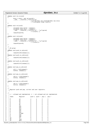```
270
271 static void rol_i(void)
272 \{273273 byte_t count = get_u8_oprnd();<br>274 _________________volatile__("roll%%cl,
274 __asm__ __volatile__("roll %%cl, %0" 
275 :"=m"(dprobes.rpn_stack[dprobes.rpn_tos])
276 : "c"((unsigned \overline{long}) count));
  \rightarrow278
279 static void ror(void)
280 {
281 unsigned long oprnd = rpnpop();
282 unsigned long count = rpnpop();
283 ___asm__ __volatile_("rorl \sqrt[6]{6} ocl, \sqrt[6]{0}" : "=m"(oprnd)
                              : "c"(count) );
285 rpnpush(oprnd);<br>
286}
  \rightarrow287
  static void rol(void)
\begin{matrix}\n289 \\
290\n\end{matrix}unsigned long oprnd = rppop();
291 unsigned long count = rpnpop();
292 __asm__ __volatile__("roll %%cl, %0" : "=m"(oprnd)
\frac{293}{294} :"c"(count));
         294 rpnpush(oprnd);
295}
296
297
298 * IO group<br>298 * /
   *300 static void push_io_u8(void)
301 {
\text{supp}(\text{inb}(\text{rprop}(\)));303 }
304 static void push_io_u16(void)
  \{306 rpnpush(inw(rpnpop()));<br>307 }
307308
309 static void push_io_u32(void)
\begin{matrix} 310 \\ 311 \end{matrix}rppush(int(rppop()));312 }
313
314 static void pop_io_u8(void)
315 {
316 u8 b = (u8)rpnpop();<br>317 0utb(b, rpnpop());
  \text{outb}(b, \text{rppop}(\cdot));
318 }
319
320 static void pop_io_u16(void)
\begin{array}{c} 321 \\ 322 \end{array}322 u16 w = (u16)rpnpop();<br>323 outw(w, rpnpop());
323 outw(w, rpnpop());
  \rightarrow325
326 static void pop_io_u32(void)
327 \{<br>328
328 \text{ u32 d} = (u32) \text{ rpppop}();<br>
329 \text{ out1(d, rpppop}();outl(d, rpppop());
330 }
331
332<br>333
   * Register push and pop, current and user registers.
334335
336 / *337 * y −− allowed and implemented, n −− not allowed and not implemented.
338<br>339
     339 * Index Register push u push r pop u pop r
340 \qquad * \qquad 341 \qquad * \quad 0341 * 0 cs y y n n
342 * 1 ds y y y y
343 * 2 es y y y y
344 * 3 fs y y y y
345 * 4 gs y y y y
346 * 5 ss y y n n
347 * 6 eax y y y y
348 * 7 ebx y y y y
349 * 8 ecx Y y y y
350 * 9 edx Y y Y y
351 * a edi y y y y
352 * b esi y y y y
353 * c eflags y y n n
354 * d eip y y n n
355 * e \qquad \qquad esp \qquad \qquad y y n n
356 * f ebp Y y y y
357 * 20 tr n y n n
358 * 21 ldtr n y n n
359 * 22 gdtr n y n n
Registered Version: Dynamic Probes dprobes_in.c Exhibit 7.1−3 pg 4/10
```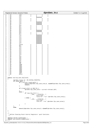|            |                                                                    |      | Registered Version: Dynamic Probes                         |                                   |                                    |                          | dprobes_in.c                                                     |  | Exhibit 7.1-3 pg 5/10 |
|------------|--------------------------------------------------------------------|------|------------------------------------------------------------|-----------------------------------|------------------------------------|--------------------------|------------------------------------------------------------------|--|-----------------------|
| 360        | $* 23$                                                             |      | idtr                                                       | $\sqrt{n}$                        | У                                  | $\sqrt{n}$               | n                                                                |  |                       |
| 361        | 24<br>$\star$                                                      |      | cr0                                                        | $\sqrt{n}$                        | У                                  | $\sqrt{n}$               | $\sqrt{n}$                                                       |  |                       |
| 362        | $^{\star}$<br>25                                                   |      | cr1                                                        |                                   | <b>RESERVED</b>                    |                          |                                                                  |  |                       |
| 363<br>364 | 26<br>$^\star$<br>27<br>$^{\star}$                                 |      | cr2<br>cr3                                                 | $\sqrt{n}$<br>$\sqrt{n}$          | У<br>У                             | n<br>$\sqrt{n}$          | n<br>n                                                           |  |                       |
| 365        | 28<br>$^{\star}$                                                   |      | cr4                                                        | $\sqrt{n}$                        | У                                  | $\sqrt{n}$               | n                                                                |  |                       |
| 366        | 29<br>$^\star$                                                     |      | cr5                                                        |                                   | <b>RESERVED</b>                    |                          |                                                                  |  |                       |
| 367        | 2a<br>$^{\star}$                                                   |      | cr6                                                        |                                   | <b>RESERVED</b>                    |                          |                                                                  |  |                       |
| 368        | 2b<br>$^{\star}$                                                   |      | cr7                                                        |                                   | <b>RESERVED</b>                    |                          |                                                                  |  |                       |
| 369<br>370 | 2c<br>$^{\star}$<br>2d<br>$^\star$                                 |      | dr0<br>dr1                                                 | $\sqrt{n}$<br>$\sqrt{n}$          | У                                  | n<br>$\sqrt{n}$          | n<br>n                                                           |  |                       |
| 371        | 2e<br>$^{\star}$                                                   |      | dr2                                                        | $\sqrt{n}$                        | У<br>У                             | $\sqrt{n}$               | n                                                                |  |                       |
| 372        | $^{\star}$<br>2f                                                   |      | dr3                                                        | n                                 | У                                  | $\sqrt{n}$               | n                                                                |  |                       |
| 373        | 30<br>$^{\star}$                                                   |      | dr4                                                        |                                   | <b>RESERVED</b>                    |                          |                                                                  |  |                       |
| 374        | 31<br>$^{\star}$                                                   |      | dr5                                                        |                                   | <b>RESERVED</b>                    |                          |                                                                  |  |                       |
| 375        | $*32$                                                              |      | dr6                                                        | $\sqrt{n}$                        | У                                  | n                        | n                                                                |  |                       |
| 376<br>377 | $*33$<br>$* 34$                                                    |      | dr7<br>tr0                                                 | $\sqrt{n}$                        | У<br><b>RESERVED</b>               | $\sqrt{n}$               | n                                                                |  |                       |
| 378        | $*35$                                                              |      | tr1                                                        |                                   | <b>RESERVED</b>                    |                          |                                                                  |  |                       |
| 379        | 36<br>$^{\star}$                                                   |      | tr2                                                        |                                   | <b>RESERVED</b>                    |                          |                                                                  |  |                       |
| 380        | 37<br>$^{\star}$                                                   |      | tr3                                                        |                                   | <b>RESERVED</b>                    |                          |                                                                  |  |                       |
| 381        | 38<br>$^{\star}$                                                   |      | tr4                                                        |                                   | <b>RESERVED</b>                    |                          |                                                                  |  |                       |
| 382<br>383 | $*39$<br>За<br>$^{\star}$                                          |      | tr5<br>tr6                                                 |                                   | <b>RESERVED</b><br><b>RESERVED</b> |                          |                                                                  |  |                       |
| 384        | 3b<br>$^{\star}$                                                   |      | tr7                                                        |                                   | <b>RESERVED</b>                    |                          |                                                                  |  |                       |
| 385        | $^{\star}$<br>3c                                                   |      | cpuid                                                      | У                                 | У                                  | n                        | n                                                                |  |                       |
| 386        | Зd<br>*                                                            |      | msr                                                        | У                                 | У                                  | $\sqrt{n}$               | $\sqrt{n}$                                                       |  |                       |
| 387        | Зе<br>$^{\star}$                                                   |      | $\operatorname{fr}$                                        | У                                 | $\sqrt{n}$                         | $\sqrt{n}$               | n                                                                |  |                       |
| 388<br>389 | $*$ 3f<br>40<br>$^\star$                                           |      | frl<br>fr2                                                 | У<br>У                            | n<br>$\sqrt{n}$                    | n<br>n                   | n<br>$\sqrt{n}$                                                  |  |                       |
| 390        | $*$ 41                                                             |      | fr3                                                        | У                                 | $\sqrt{n}$                         | n                        | $\sqrt{n}$                                                       |  |                       |
| 391        | $*$ 42                                                             |      | fr4                                                        | У                                 | $\sqrt{n}$                         | n                        | $\sqrt{n}$                                                       |  |                       |
| 392        | 43<br>$^{\star}$                                                   |      | fr5                                                        | У                                 | n                                  | $\sqrt{n}$               | $\sqrt{n}$                                                       |  |                       |
| 393        | $*$ 44                                                             |      | fr6                                                        | У                                 | $\sqrt{n}$                         | $\sqrt{n}$               | $\sqrt{n}$                                                       |  |                       |
| 394<br>395 | $^{\star}$<br>45<br>$^\star$<br>46                                 |      | fr7<br>$\it{fcw}$                                          | У<br>У                            | $\sqrt{n}$<br>$\sqrt{n}$           | $\sqrt{n}$<br>$\sqrt{n}$ | $\sqrt{n}$<br>n                                                  |  |                       |
| 396        | $*$ 47                                                             |      | fsw                                                        | У                                 | $\sqrt{n}$                         | $\sqrt{n}$               | n                                                                |  |                       |
| 397        | $^{\star}$<br>48                                                   |      | ftw                                                        | У                                 | $\sqrt{n}$                         | $\sqrt{n}$               | $\sqrt{n}$                                                       |  |                       |
| 398        | * 49                                                               |      | fip                                                        | У                                 | $\sqrt{n}$                         | n                        | $\sqrt{n}$                                                       |  |                       |
| 399        | 4a<br>*                                                            |      | fcs                                                        | У                                 | $\sqrt{n}$                         | n                        | $\sqrt{n}$                                                       |  |                       |
| 400<br>401 | $*$ 4b<br>$*$ 4c                                                   |      | fdp<br>fds                                                 | У<br>У                            | $\sqrt{n}$<br>$\sqrt{n}$           | n<br>n                   | n<br>$\sqrt{n}$                                                  |  |                       |
| 402        | 4d<br>$^\star$                                                     |      | xmm0                                                       | У                                 | $\sqrt{n}$                         | n                        | $\sqrt{n}$                                                       |  |                       |
| 403        | $*$ 4e                                                             |      | xmm1                                                       | У                                 | n                                  | n                        | $\sqrt{n}$                                                       |  |                       |
| 404        | $*$ 4f                                                             |      | xmm2                                                       | У                                 | n                                  | n                        | $\sqrt{n}$                                                       |  |                       |
| 405        | $* 50$                                                             |      | xmm3                                                       | У                                 | n                                  | $\sqrt{n}$               | $\sqrt{n}$                                                       |  |                       |
| 406<br>407 | $* 51$<br>$* 52$                                                   |      | xmm4<br>xmm5                                               | У                                 | n<br>$\sqrt{n}$                    | $\sqrt{n}$<br>$\sqrt{n}$ | n<br>$\sqrt{n}$                                                  |  |                       |
| 408        | $* 53$                                                             |      | xmm6                                                       | У<br>У                            | $\sqrt{n}$                         | $\sqrt{n}$               | $\sqrt{n}$                                                       |  |                       |
| 409        | $* 54$                                                             |      | xmm7                                                       | У                                 | $\sqrt{n}$                         | $\sqrt{n}$               | $\sqrt{n}$                                                       |  |                       |
| 410        | $* 55$                                                             |      | mxcsr                                                      | У                                 | $\sqrt{n}$                         | n                        | n                                                                |  |                       |
| 411        | $^*/$                                                              |      |                                                            |                                   |                                    |                          |                                                                  |  |                       |
| 412<br>413 |                                                                    |      | static void dp_save_fpu(void)                              |                                   |                                    |                          |                                                                  |  |                       |
| 414        |                                                                    |      |                                                            |                                   |                                    |                          |                                                                  |  |                       |
| 415        |                                                                    |      | dprobes.status &= ~DP_STATUS_FIRSTFPU;                     |                                   |                                    |                          |                                                                  |  |                       |
| 416        |                                                                    |      | $if$ (HAVE_HWFP) {                                         |                                   |                                    |                          |                                                                  |  |                       |
| 417        |                                                                    |      |                                                            | <b>if</b> (!current->used_math) { |                                    |                          | memset(&dprobes.fpu_save_area,0, sizeof(dprobes.fpu_save_area)); |  |                       |
| 418<br>419 |                                                                    |      |                                                            | return;                           |                                    |                          |                                                                  |  |                       |
| 420        |                                                                    |      | }                                                          |                                   |                                    |                          |                                                                  |  |                       |
| 421        |                                                                    |      |                                                            |                                   |                                    |                          |                                                                  |  |                       |
| 422        |                                                                    |      |                                                            | if $((read_crc0())$ & CRO_TS) {   |                                    |                          |                                                                  |  |                       |
| 423<br>424 |                                                                    |      | ł                                                          |                                   |                                    |                          | $d$ probes.fpu_save_area = current->thread.i387;                 |  |                       |
| 425        |                                                                    |      | else                                                       |                                   |                                    |                          |                                                                  |  |                       |
| 426        |                                                                    |      |                                                            | if $(\text{cpu}$ has $fixsr)$ {   |                                    |                          |                                                                  |  |                       |
| 427        |                                                                    |      |                                                            | __asm__                           | _volatile__ (                      |                          |                                                                  |  |                       |
| 428        |                                                                    |      |                                                            |                                   | "fxsave $\%$ 0\n"                  |                          |                                                                  |  |                       |
| 429<br>430 |                                                                    |      |                                                            | $\}$ else $\{$                    |                                    |                          | "fxrstor $%0"$ : "=m" (dprobes.fpu_save_area));                  |  |                       |
| 431        |                                                                    |      |                                                            | _asm__                            | __volatile__ (                     |                          |                                                                  |  |                       |
| 432        |                                                                    |      |                                                            |                                   | "fsave %0\n"                       |                          |                                                                  |  |                       |
| 433        |                                                                    |      |                                                            |                                   |                                    |                          | "frstor $%0"$ : "=m" (dprobes.fpu_save_area));                   |  |                       |
| 434        |                                                                    |      |                                                            |                                   |                                    |                          |                                                                  |  |                       |
| 435<br>436 |                                                                    |      | $\}$                                                       |                                   |                                    |                          |                                                                  |  |                       |
| 437        |                                                                    |      |                                                            |                                   |                                    |                          |                                                                  |  |                       |
| 438        |                                                                    | else |                                                            |                                   |                                    |                          |                                                                  |  |                       |
| 439        |                                                                    |      |                                                            |                                   |                                    |                          | memset(&dprobes.fpu_save_area,0, sizeof(dprobes.fpu_save_area)); |  |                       |
| 440        |                                                                    |      |                                                            |                                   |                                    |                          |                                                                  |  |                       |
| 441<br>442 |                                                                    |      |                                                            |                                   |                                    |                          |                                                                  |  |                       |
| 443        |                                                                    |      |                                                            |                                   |                                    |                          |                                                                  |  |                       |
| 444        |                                                                    |      | * Define Floating Point Control Registers' push functions. |                                   |                                    |                          |                                                                  |  |                       |
| 445        | $^*/$                                                              |      |                                                            |                                   |                                    |                          |                                                                  |  |                       |
| 446<br>447 |                                                                    |      | $\#define$ DEFINE_PUSHFP(REG) \                            |                                   |                                    |                          |                                                                  |  |                       |
| 448        |                                                                    |      | <b>static</b> void pushfp_##REG(void) \                    |                                   |                                    |                          |                                                                  |  |                       |
| 449        | $\left\{ \begin{array}{c} \lambda \\ \lambda \end{array} \right\}$ |      |                                                            |                                   |                                    |                          |                                                                  |  |                       |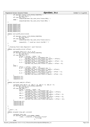```
450 if (dprobes.status & DP_STATUS_FIRSTFPU) \
\frac{451}{451} dp save fpu();
452 if (cpu_has_fxsr)<br>
453 if (cpu_has_fxsr)<br>
1453 rpnpush(dp
                        -<br>rpnpush(dprobes.fpu_save_area.fxsave.REG); \
454 else \setminusrpnpush(dprobes.fpu save area.fsave.REG); \setminus456 }
457
458 DEFINE_PUSHFP(cwd)<br>459 DEFINE PUSHFP(swd)
459 DEFINE_PUSHFP(swd)<br>460 DEFINE PUSHFP(twd)
    DEFINE_PUSHFP(twd)
461 DEFINE_PUSHFP(fip)<br>462 DEFINE PUSHFP(fcs)
462 DEFINE_PUSHFP(fcs)<br>463 DEFINE_PUSHFP(fco)
463 DEFINE_PUSHFP(foo)
    DEFINE_PUSHFP(fos)
465
466 static void pushfp_mxcsr(void)
467 \{<br>468468 if (dprobes.status & DP_STATUS_FIRSTFPU)
469 \frac{dp\_save\_fpu()}{if (cpu has xmm)}if (cpu has xmm)
471 rpnpush(dprobes.fpu_save_area.fxsave.mxcsr);<br>472 else
472 else
    \texttt{rppush}(0); \; \texttt{/*} \; \texttt{could we return } 0 \texttt{x1f80} \; \texttt{?} \; \texttt{*/}474 }
475
476
477 * Floating Point Data Registers' push function.
478static void pushfp_st(int offset)
\begin{matrix} 480 \\ 481 \end{matrix} \quad \begin{matrix} \{ \end{matrix}unsigned long st_0, st_4, st_8;
482 if (dprobes.status & DP_STATUS_FIRSTFPU)
483 dp_save_fpu();<br>\frac{1}{484} if (cpu has fxsr) {
484 if (cpu_has_fxsr) {
485 offset = (offset − 0x3e) * 16;
486 st_0 = *(unsigned long *) (unsigned char *)<br>487 (dependence of the state of the state of the save area.fxsave.st_spa
487 (dprobes.fpu_save_area.fxsave.st_space) + offset);<br>488 st_4 = *(unsigned long *) ((unsigned char *)
488 st_4 = *(unsigned long *) ((unsigned char *)<br>
(dprobes.fpu_save_area.fxsave.st_space) + offset + 4);<br>
\text{st\_8} = *(unsigned long *) ((unsigned char *)
491 (dprobes.fpu_save_area.fxsave.st_space) + offset + 8);
492<br>493
493 else {
494 offset = (offset − 0x3e) * 10;
495 st_0 = *(unsigned long *) ((unsigned char *)
446 (dprobes.fpu_save_area.fsave.st_space) + offset);<br>497 st 4 = * (unsigned long *) ((unsigned char *)
497 st_4 = * ( unsigned long * ) (unsigned char *)<br>
(dprobes fou save area fsave st space)
498 (dprobes.fpu_save_area.fsave.st_space) + offset + 4);<br>\frac{1}{2} area.fsave.st_space) + offset + 4);
                         st_8 = *(unsigned short *) ((unsigned char *)
500 (dprobes.fpu_save_area.fsave.st_space) + offset + 8);
501 }
502 rpnpush(st_8);
\begin{array}{ccc} 503 & \text{rppupush}(st-4); \\ 504 & \text{rppupush}(st-0); \end{array}rpnpush(st 0);
505 }
506
507 static void push_xmm(int offset)
508<br>509
509 unsigned long xmm_0 = 0, xmm_4 = 0, xmm_8 = 0, xmm_12 = 0;
510 if (dprobes.status & DP_STATUS_FIRSTFPU)
511 \frac{dp\_save\_fpu()}{if (cpu has xmm)}\textbf{if} \text{ (cpu has } \text{xmm)}<br>
\textbf{if} \text{ (cpu has } \text{xmm)}513 offset = (offset − 0x4d) * 16;
514 xmm_0 = *(unsigned long *) ((unsigned char *)
515 (dprobes.fpu_save_area.fxsave.xmm_space) + offset);
516 xmm_4 = *(unsigned long *) ((unsigned char *)<br>517 (deprobes.fpu save area.fxsave.xmm spa
517 (dprobes.fpu_save_area.fxsave.xmm_space) + offset + 4);
518 xmm_8 = *(\text{unsigned long }*) ((unsigned char *)<br>
(dprobes full save area fxsave xmm spa
519 (dprobes.fpu_save_area.fxsave.xmm_space) + offset + 8);
520 xmm_12 = *(unsigned long *) ((unsigned char *)
521 (dprobes.fpu_save_area.fxsave.xmm_space) + offset + 12);
522<br>523
              rpnpush(xmm_12);
524 rpnpush(xmm_8);
525 rpnpush(xmm_4);
\begin{array}{c} 526 \\ 527 \end{array} rpnpush(xmm_0);
527 }
528
529 /*<br>530 *
     * push r, ss.
531<br>532
    static unsigned long getr_ss(void)
533 {<br>534534 unsigned long reg;
535 if (dprobes.status & DP_KERNEL_PROBE)<br>536 asm volatile ("movw%")
536 __asm__ __volatile__("movw %%ss, %%ax\n\t"
\frac{1}{537} : "=a"(reg)<br>
538 ) ;
538 );
539 else
Registered Version: Dynamic Probes dprobes_in.c Exhibit 7.1−3 pg 6/10
```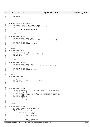```
540 reg = dprobes.regs−>xss;
541 return reg;
542 }
543
544<br>545
      * push r, esp
546<br>547
547 static unsigned long getr_esp(void)
548 \left\{ \begin{array}{c} 548 \\ 549 \end{array} \right.549 if (dprobes.status & DP_KERNEL_PROBE)
                            550 return (unsigned long)&dprobes.regs−>esp;
551 else
552 return dprobes.regs−>esp;
    553 }
554
555<br>556
556 * Push GDTR<br>557 */
557 *<br>558 \overline{\text{st}}static void push_gdtr(void)
559 {<br>560
                struct Xgt_desc_struct gdtr;
561 _________________volatile_("sgdt (\%0)" : : "r"((unsigned long) &gdtr));
562
563 rpnpush(gdtr.address);<br>564 rpnpush((unsigned long
                564 rpnpush((unsigned long) gdtr.size);
565 }
566
567 /*<br>568 *
568 * Push LDTR
      \star570 static void push_ldtr(void)
571 \quad \{572 unsigned long ldtr = 0; 
\begin{array}{ccc} 573 & -35\text{cm} & -\text{volume} & \text{J} & \text{J} & \text{m} \\ -574 & \text{r} & \text{m} & \text{m} & \text{m} \end{array}573 \qquad \qquad -85m \qquad \qquad \qquad 574 rpnpush(ldtr);
    \}576
577 /*<br>578 *
578 * Push IDTR<br>579 */
     \star580 static void push_idtr(void)
\begin{matrix} 581 \\ 582 \end{matrix}582 struct Xgt_desc_struct idtr;<br>583 _____________________volatile___("sidt(%0)
                \text{Lasm}_{\text{L}} _volatile_("sidt(%0)" : : "r"((unsigned long) &idtr));
584
%<br>585 rpnpush(idtr.address);<br>586 rpnpush((unsigned long
    586 rpnpush((unsigned long)idtr.size);
587 }
588
589 /*
590 * Push TR
591<br>592
    static void push_tr(void)
593 {
                unsigned long tr;
595 __asm__ __volatile__("str %%ax" : "=a"(tr));
596 rpnpush(tr);
597 }
598
599 /*
\begin{array}{cc}\n\text{600} & * & \text{Push } \text{cpuid.} \\
\text{601} & * & \end{array}601<br>602
    static void push_cpuid(void)
603 {
604 int op, cpuid_eax = 0, cpuid_ebx = 0, cpuid_ecx = 0, cpuid_edx = 0;
605 op = (int) rpnpop();
606 if ((boot_cpu_data.x86 >= 5) && (op <= boot_cpu_data.cpuid_level)) 
607 cpuid(op, &cpuid_eax, &cpuid_ebx, &cpuid_ecx, &cpuid_edx);
608 rpnpush(cpuid_edx);<br>for rpnpush(cpuid_ecx);
                rpnpush(cpuid_ecx);
610 rpnpush(cpuid_ebx);<br>611 rpnpush(cpuid_eax);
    f rpnpush(cpuid_eax);
612 }
613
614 \frac{\star}{\star}615 * push msr.
616<br>617
    static void push_msr(void)
618 {
619 unsigned long msr, valid =0, val2 = 0;<br>620 msr = rpprop();msr = rpppop();
621 if (boot_cpu_data.x86 >= 5) 
\begin{array}{c}\text{asm}} \text{sum} \\ \text{reson} \\ \text{max}\end{array} (rdmsr\n"
\frac{11}{11} = \frac{11}{11}625 ".section .fixup,\"ax\"\n'<br>626 \frac{1}{2}: \frac{1}{2} imp 1b\n"
\frac{1}{2}<br>
\frac{1}{2}<br>
\frac{1}{2}<br>
\frac{1}{2}<br>
\frac{1}{2}<br>
\frac{1}{2}<br>
\frac{1}{2}<br>
\frac{1}{2}<br>
\frac{1}{2}<br>
\frac{1}{2}<br>
\frac{1}{2}<br>
\frac{1}{2}<br>
\frac{1}{2}<br>
\frac{1}{2}<br>
\frac{1}{2}<br>
\frac{1}{2}<br>
\frac{1}{2}<br>
\frac{1}{2}<br>
\frac{1}{2}<br>
\frac{1}{2}<br>
\frac{627}{628} ".previous\frac{1}{2} ".previous\frac{1}{2}".
                                        ".section ex_{\text{label}},"a\"\n"
629 \overline{\text{align 4}}\text{min}Registered Version: Dynamic Probes dprobes_in.c Exhibit 7.1−3 pg 7/10
```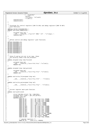```
630 " .long 0b,2b\n"
631 " previous"
632 : "=a"(val1), "=d"(val2)<br>633 : "c"(msr));
                                  : "c"(\text{msr}));
634 rpnpush(val2);<br>635 rpnpush(val1);
              635 rpnpush(val1);
636 }
637
638 / *039 * Prototype for control registers'(CR0 TO CR4) and debug registers'(DR0 TO DR7)<br>040 * push functions.
       push functions.
641<br>642
<sup>642</sup> #define DEFINE_PUSHCRDB(REG) \<br><sup>643</sup> static void push ##REG(void) \
643 static void push_##REG(void) \setminus\left\{ \begin{array}{c} \lambda \end{array} \right\}645 unsigned long reg; \
646 __asm__ __volatile__ ("movl %%" #REG ", %0" : "=r"(reg)); \
\frac{1}{\text{rppush}(\text{reg})};\}649
650 /*651 * Define control and debug registers' push functions.<br>652 */
652 */<br>653 DEF
653 DEFINE_PUSHCRDB(cr0)<br>654 DEFINE PUSHCRDB(cr2)
   DEFINE_PUSHCRDB(cr2)
655 DEFINE_PUSHCRDB(cr3)
656 DEFINE_PUSHCRDB(cr4)
657 DEFINE_PUSHCRDB(dr0)
658 DEFINE_PUSHCRDB(dr1)<br>659 DEFINE PUSHCRDB(dr2)
   DEFINE_PUSHCRDB(dr2)
660 DEFINE_PUSHCRDB(dr3)<br>661 DEFINE PUSHCRDB(dr6)
    DEFINE_PUSHCRDB(dr6)
662 DEFINE_PUSHCRDB(dr7)
663
664<br>665
     * Since fs and gs are not in pt\_regs, these<br>* are directly taken from the processes
666 * are directly taken from the processor.
667 *<br>668 stcstatic unsigned long read_fs(void)
669 {
670 unsigned long val;
\frac{1}{671} \frac{1}{271} \frac{1}{271} \frac{1}{271} \frac{1}{271} \frac{1}{271} \frac{1}{271} \frac{1}{271} \frac{1}{271} \frac{1}{271} \frac{1}{271} \frac{1}{271} \frac{1}{271} \frac{1}{271} \frac{1}{271} \frac{1}{271} \frac{1}{271} \frac{1}{271} \frac{1\overline{\text{return}} val;<br>
\overline{\text{673}} }
   673 }
674
675 static unsigned long read_gs(void)
676 \quad \{
677678 (and the unsigned long val;<br>678 (asm volatile
678 __asm__ __volatile__("movw %%gs, %%ax" :"=a"(val));
679 return val;
680 }
681
    static void write_fs(unsigned long val)
683 \quad \{\text{Lasm}_{\text{L}} _volatile_("movw %%ax, %%fs" : : "a"(val));
685 }
686
687 static void write_gs(unsigned long val)
688<br>689
              __asm__ __volatile__("movw %%ax, %%gs" : :"a"(val));
690 }
691
692<br>693
     * Current register main push function.
694695 static void pushr(void)
696 {
697 struct dprobes_struct *dp = &dprobes;<br>698 munsigned short index = get_ul6_oprnd(
698 unsigned short index = get_u16_oprnd();
699 unsigned long val;
700 switch(index) {<br>701 case DP_CS:
701 case DP_CS: val = dp−>regs−>xcs; break;
702 case DP_DS: val = dp−>regs−>xds; break;
                                            703 case DP_ES: val = dp−>regs−>xes; break;
704 case DP_FS: val = read_fs(); break;
705 case DP_GS: val = read_gs(); break;
706 case DP_SS: val = getr_ss(); break;
707 case DP_EAX: val = dp−>regs−>eax; break;
                        708 case DP_EBX: val = dp−>regs−>ebx; break;
709 case DP_ECX: val = dp−>regs−>ecx; break;
710 case DP_EDX: val = dp−>regs−>edx; break;
711 case DP_EDI: val = dp−>regs−>edi; break;
712 case DP_ESI: val = dp−>regs−>esi; break;
713 case DP_EFLAGS: val = dp−>regs−>eflags; break;
                        case DP_EIP: val = dp−>regs−>eip; break;<br>case DP_EIP: val = getr esp(); break;
715 case DP_ESP: val = getr_esp(); break;
716 case DP_EBP: val = dp−>regs−>ebp; break;
717
718 /* special registers */
719 case DP_TR: push_tr(); return;
Registered Version: Dynamic Probes dprobes_in.c Exhibit 7.1−3 pg 8/10
```
./Dynamic\_probes/dprobes−v3.6.3−2.4.19\_CVS/usr/src/linux/drivers/dprobes/i386/dprobes\_in.c Page 13/32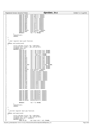|                                                                                                                     | <b>Registered Version: Dynamic Probes</b>                                                                                                                                                                                                                                                                 | dprobes in.c                                                                                                                                                                                                                                                                                                                                                                                             | Exhibit 7.1–3 pg 9/10 |
|---------------------------------------------------------------------------------------------------------------------|-----------------------------------------------------------------------------------------------------------------------------------------------------------------------------------------------------------------------------------------------------------------------------------------------------------|----------------------------------------------------------------------------------------------------------------------------------------------------------------------------------------------------------------------------------------------------------------------------------------------------------------------------------------------------------------------------------------------------------|-----------------------|
| 720<br>721<br>722<br>723<br>724<br>725<br>726<br>727<br>728<br>729<br>730<br>731<br>732<br>733<br>734<br>735<br>736 | case DP_LDTR:<br>$case$ $DP_GDTR$ :<br>case DP_IDTR:<br>case DP_CRO:<br>case $DP_CRR2$ :<br>case $DP_CRR3$ :<br>case $DP_CRA$ :<br>case $DP\_DR0$ :<br>$case$ $DP\_DR1$ :<br>$case DP\_DR2$ :<br>case $DP\_DR3$ :<br>case $DP\_DR6$ :<br>$case$ $DP\_DR7$ :<br>case DP_CPUID:<br>case DP_MSR:<br>default: | push_ldtr(); return;<br>push_gdtr(); return;<br>push_idtr(); return;<br>push_cr0(); return;<br>push_cr2(); return;<br>push_cr3(); return;<br>push_cr4(); return;<br>push_dr0(); return;<br>push_drl(); return;<br>push_dr2(); return;<br>push_dr3(); return;<br>push_dr6(); return;<br>push_dr7(); return;<br>push_cpuid(); return;<br>push_msr(); return;<br>$val = 0$ ; break;                         |                       |
| 737<br>738<br>739<br>740<br>741                                                                                     | rppush(val);<br>return;<br>$/$ *                                                                                                                                                                                                                                                                          |                                                                                                                                                                                                                                                                                                                                                                                                          |                       |
| 742<br>743<br>744<br>745                                                                                            | * User register main push function.<br>$^*/$<br>static void pushu(void)                                                                                                                                                                                                                                   |                                                                                                                                                                                                                                                                                                                                                                                                          |                       |
| 746<br>747<br>748<br>749<br>750<br>751<br>752<br>753<br>754<br>755                                                  | struct dprobes_struct *dp = &dprobes<br>unsigned short index = $get_id6\_oprnd()$ ;<br>unsigned long val;<br>switch(int)<br>case DP_CS:<br>case $DP\_DS$ :<br>case $DP\_ES$ :<br>case DP_FS:<br>case DP_GS:<br>case $DP\_SS$ :                                                                            | $val = dp->uregs->xcs; break;$<br>val = dp->uregs->xds; <b>break</b> ;<br>$val = dp->uregs->xes: break;$<br>$val = read_f s()$ ; break;<br>$val = read_gs()$ ; <b>break</b> ;<br>val = dp->uregs->xss; break;                                                                                                                                                                                            |                       |
| 756<br>757<br>758<br>759<br>760<br>761<br>762<br>763                                                                | $case$ $DP$ $EX:$<br>$case$ $DP$ $EBX$ :<br>$case$ $DP\_ECX$ :<br>case DP_EDX:<br>$case$ $DP$ $EDI$ :<br>case DP_ESI:<br>case DP_EIP:                                                                                                                                                                     | val = dp->uregs->eax; <b>break</b> ;<br>val = dp->uregs->ebx; <b>break</b> ;<br>$val = dp->uregs->ecx; break;$<br>val = dp->uregs->edx; <b>break</b> ;<br>val = dp->uregs->edi; <b>break</b> ;<br>val = dp->uregs->esi; <b>break</b> ;<br>case DP_EFLAGS: val = dp->uregs->eflags; break;<br>val = dp->uregs->eip; <b>break</b> ;                                                                        |                       |
| 764<br>765<br>766<br>767<br>768<br>769<br>770<br>771<br>772<br>773<br>774<br>775<br>776<br>777                      | case DP_ESP:<br>$case$ $DP$ $EBP$ :<br>case DP_CPUID:<br>case DP_MSR:<br>case DP FRO:<br>case $DP_FRI$ :<br>$case$ $DP_FR2$ :<br>$case$ $DP_FR3$ :<br>case $DP_FRA$ :<br>case $DP_FRS$ :<br>case DP_FR6:<br>case DP FR7:<br>case DP_FCW:<br>case DP_FSW:                                                  | $val = dp->uregs->esp; break;$<br>val = dp->uregs->ebp; <b>break</b> ;<br>push_cpuid(); return;<br>push_msr(); return;<br>pushfp_st(0x3e); return;<br>pushfp_st(0x3f); return;<br>pushfp_st(0x40); return;<br>pushfp_st(0x41); return;<br>pushfp_st(0x42); return;<br>pushfp_st(0x43); return;<br>pushfp_st(0x44); return;<br>pushfp_st(0x45); return;<br>pushfp_cwd(); return;<br>pushfp_swd(); return; |                       |
| 778<br>779<br>780<br>781<br>782<br>783                                                                              | case DP_FTW:<br>case DP_FIP:<br>case DP_FCS:<br>case DP_FDP:<br>case DP_FDS:                                                                                                                                                                                                                              | pushfp_twd(); return;<br>pushfp_fip(); return;<br>pushfp_fcs(); return;<br>pushfp_foo(); return;<br>pushfp_fos(); <b>return</b> ;                                                                                                                                                                                                                                                                        |                       |
| 784<br>785<br>786<br>787<br>788<br>789<br>790<br>791<br>792                                                         | case DP_XMM0:<br>case DP_XMM1:<br>case DP_XMM2:<br>case DP_XMM3:<br>case DP_XMM4:<br>case DP_XMM5:<br>case DP_XMM6:<br>case DP_XMM7:<br>case DP_MXCSR:                                                                                                                                                    | push_xmm(0x4d); return;<br>push xmm(0x4e); return;<br>push_xmm(0x4f); return;<br>push_xmm(0x50); return;<br>push_xmm(0x51); return;<br>push xmm(0x52); return;<br>push_xmm(0x53); return;<br>push_xmm(0x54); return;<br>pushfp_mxcsr(); <b>return</b> ;                                                                                                                                                  |                       |
| 793<br>794<br>795<br>796<br>797<br>798<br>799<br>800                                                                | default:<br>rppush(val);<br>return;<br>$/$ *                                                                                                                                                                                                                                                              | $val = 0$ ; break;                                                                                                                                                                                                                                                                                                                                                                                       |                       |
| 801<br>802<br>803                                                                                                   | * Current register main pop function.<br>$\star$ /<br>static void popr(void)                                                                                                                                                                                                                              |                                                                                                                                                                                                                                                                                                                                                                                                          |                       |
| 804<br>805<br>806<br>807                                                                                            | struct dprobes_struct *dp = &dprobes<br>unsigned short index = $get_id6\_oprnd()$ ;<br>unsigned long val = $rppop()$ ;                                                                                                                                                                                    |                                                                                                                                                                                                                                                                                                                                                                                                          |                       |
| 808<br>809                                                                                                          | $switch(int)$ {<br>case DP_DS:                                                                                                                                                                                                                                                                            | $dp\rightarrow$ regs->xds = val; break;                                                                                                                                                                                                                                                                                                                                                                  |                       |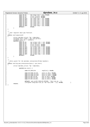|            | Registered Version: Dynamic Probes                                                         | dprobes_in.c                                                                                              | Exhibit 7.1-3 pg 10/10 |
|------------|--------------------------------------------------------------------------------------------|-----------------------------------------------------------------------------------------------------------|------------------------|
| 810        | case DP_ES:                                                                                | dp->regs->xes = val; break;                                                                               |                        |
| 811<br>812 | case DP_FS:<br>case DP_GS:                                                                 | write_fs(val); <b>break</b> ;<br>write_gs(val); <b>break</b> ;                                            |                        |
| 813        | case DP_EAX:                                                                               | dp->regs->eax = val; <b>break</b> ;                                                                       |                        |
| 814        | $case$ $DP$ $EBX$ :                                                                        | $dp\rightarrow$ regs->ebx = val; <b>break</b> ;                                                           |                        |
| 815        | case DP_ECX:                                                                               | $dp\rightarrow$ regs->ecx = val; break;                                                                   |                        |
| 816<br>817 | case DP_EDX:<br>case DP_EDI:                                                               | $dp\rightarrow \text{regs}\rightarrow \text{edx} = val: break:$<br>dp->regs->edi = val; <b>break</b> ;    |                        |
| 818        | case DP_ESI:                                                                               | dp->regs->esi = val; <b>break</b> ;                                                                       |                        |
| 819        | case DP_EBP:                                                                               | $dp\rightarrow \text{regs}\rightarrow ebp = val: break:$                                                  |                        |
| 820        | default:                                                                                   | break;                                                                                                    |                        |
| 821<br>822 |                                                                                            |                                                                                                           |                        |
| 823        |                                                                                            |                                                                                                           |                        |
| 824        | $/$ *                                                                                      |                                                                                                           |                        |
| 825<br>826 | * User register main pop function.<br>$^{\star}$                                           |                                                                                                           |                        |
| 827        | static void popu(void)                                                                     |                                                                                                           |                        |
| 828        |                                                                                            |                                                                                                           |                        |
| 829<br>830 | $struct$ dprobes_struct *dp = $\&$ dprobes;<br>unsigned short index = $get_id6\_oprnd()$ ; |                                                                                                           |                        |
| 831        | unsigned long val = $rppop()$ ;                                                            |                                                                                                           |                        |
| 832        | switch(int)                                                                                |                                                                                                           |                        |
| 833<br>834 | case DP_DS:<br>case DP_ES:                                                                 | $dp$ ->uregs->xds = val; <b>break</b> ;<br>$dp$ ->uregs->xes = val; break;                                |                        |
| 835        | case DP_FS:                                                                                | $write_f s(val); break;$                                                                                  |                        |
| 836        | case DP_GS:                                                                                | write_gs(val); <b>break</b> ;                                                                             |                        |
| 837        | case DP_EAX:<br>case DP_EBX:                                                               | dp->uregs->eax = val; <b>break</b> ;<br>$dp$ ->uregs->ebx = val; <b>break</b> ;                           |                        |
| 838<br>839 | case DP_ECX:                                                                               | $dp$ ->uregs->ecx = val; break;                                                                           |                        |
| 840        | $case$ $DP$ $EDX$ :                                                                        | dp->uregs->edx = $val$ ; break;                                                                           |                        |
| 841        | case DP_EDI:                                                                               | dp->uregs->edi = val; <b>break</b> ;                                                                      |                        |
| 842<br>843 | case DP_ESI:<br>case DP_EBP:                                                               | $dp$ ->uregs->esi = val; break;<br>$dp$ ->uregs->ebp = val; <b>break</b> ;                                |                        |
| 844        | default:                                                                                   | break;                                                                                                    |                        |
| 845        |                                                                                            |                                                                                                           |                        |
| 846<br>847 |                                                                                            |                                                                                                           |                        |
| 848        |                                                                                            |                                                                                                           |                        |
| 849<br>850 | $^*/$                                                                                      | * Entry point for the dprobes interpreter(Probe handler).                                                 |                        |
| 851        | static void dp_asm_interpreter(byte_t rpn_instr)                                           |                                                                                                           |                        |
| 852        |                                                                                            |                                                                                                           |                        |
| 853<br>854 | $struct$ dprobes_struct *dp = $\&$ dprobes;                                                |                                                                                                           |                        |
| 855        | $switch$ (rpn_instr) {                                                                     |                                                                                                           |                        |
| 856<br>857 |                                                                                            | case DP_SEG2LIN:<br>seg2lin(); <b>break</b> ;                                                             |                        |
| 858        |                                                                                            |                                                                                                           |                        |
| 859        |                                                                                            | case DP_PUSH_IO_U8:<br>push_io_u8(); <b>break</b> ;<br>case DP_PUSH_IO_U16:<br>$push\_io\_u16()$ ; break; |                        |
| 860<br>861 |                                                                                            | case DP_PUSH_IO_U32:<br>$push\_io\_u32()$ ; break;                                                        |                        |
| 862        |                                                                                            | $case$ $DP\_POP\_IO\_UB$ :<br>$pop\_io\_u8()$ ; break;                                                    |                        |
| 863<br>864 |                                                                                            | case DP_POP_IO_U16:<br>$pop\_io\_u16()$ ; break;<br>case DP_POP_IO_U32:<br>pop_io_u32(); break;           |                        |
| 865        |                                                                                            |                                                                                                           |                        |
| 866        |                                                                                            | $\text{default}:$ gen_ex(EX_INVALID_OPCODE, *(dp->rpn_ip - 1),                                            |                        |
| 867<br>868 | return;                                                                                    | $(unsigned long)(dp->rpn_ip -dp->rpn_code - 1))$ ; break;                                                 |                        |
| 869        | - 1                                                                                        |                                                                                                           |                        |
|            |                                                                                            |                                                                                                           |                        |
|            |                                                                                            |                                                                                                           |                        |
|            |                                                                                            |                                                                                                           |                        |
|            |                                                                                            |                                                                                                           |                        |
|            |                                                                                            |                                                                                                           |                        |
|            |                                                                                            |                                                                                                           |                        |
|            |                                                                                            |                                                                                                           |                        |
|            |                                                                                            |                                                                                                           |                        |
|            |                                                                                            |                                                                                                           |                        |
|            |                                                                                            |                                                                                                           |                        |
|            |                                                                                            |                                                                                                           |                        |
|            |                                                                                            |                                                                                                           |                        |
|            |                                                                                            |                                                                                                           |                        |
|            |                                                                                            |                                                                                                           |                        |
|            |                                                                                            |                                                                                                           |                        |
|            |                                                                                            |                                                                                                           |                        |
|            |                                                                                            |                                                                                                           |                        |
|            |                                                                                            |                                                                                                           |                        |
|            |                                                                                            |                                                                                                           |                        |
|            |                                                                                            |                                                                                                           |                        |
|            |                                                                                            |                                                                                                           |                        |
|            |                                                                                            |                                                                                                           |                        |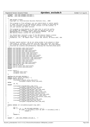<sup>1</sup> **#ifndef** \_\_ASM\_I386\_DPROBES\_EXCLUDE\_H\_\_ <sup>2</sup> **#define** \_\_ASM\_I386\_DPROBES\_EXCLUDE\_H\_\_ 3 <sup>4</sup> /\* 5 \* IBM Dynamic Probes<br>6 \* Copyright (c) Inte Copyright (c) International Business Machines Corp., 2000 <sup>7</sup> \* <sup>8</sup> \* This program is free software; you can redistribute it and/or modify <sup>9</sup> \* it under the terms of the GNU General Public License as published by <sup>10</sup> \* the Free Software Foundation; either version 2 of the License, or<br><sup>11</sup> \* (at your option) any later version. (at your option) any later version.  $12$ <br> $13$ <sup>13</sup> \* This program is distributed in the hope that it will be useful,<br><sup>14</sup> \* but WITHOUT ANY WARRANTY; without even the implied warranty of <sup>14</sup> \* but WITHOUT ANY WARRANTY; without even the implied warranty of <sup>15</sup> \* MERCHANTABILITY or FITNESS FOR A PARTICULAR PURPOSE. See the <sup>16</sup> \* GNU General Public License for more details.  $17$ <br>18 <sup>18</sup> \* You should have received a copy of the GNU General Public License <sup>19</sup> \* along with this program; if not, write to the Free Software <sup>20</sup> \* Foundation, Inc., 59 Temple Place − Suite 330, Boston, MA 02111−1307, USA.  $21$ 22 23 /\*<br>24 \* <sup>24</sup> \* Exclude regions markers: We do not allow probes to be placed in these<br><sup>25</sup> \* code areas to \_prevent\_ recursion into dp\_trap3. Note that this does <sup>25</sup> \* code areas to \_prevent\_ recursion into dp\_trap3. Note that this does <sup>26</sup> \* not eliminate the possibility of recursion completely. dp\_trap3 handles <sup>27</sup> \* recursion by silently and permanently removing the recursed probe point. 28  $* /$ 29 **extern** void dprobes\_code\_start(void);<br>20 **extern** void dprobes\_code\_end(void); extern void dprobes\_code\_end(void); <sup>31</sup> **extern** void dprobes\_asm\_code\_start(void); <sup>32</sup> **extern** void dprobes\_asm\_code\_end(void); 33 **extern** void dprobes\_hooks\_code\_start(void);<br>34 **extern** void dprobes hooks code end(void); **extern** void dprobes\_hooks\_code\_end(void); <sup>35</sup> **extern** void dprobes\_hooks\_asm\_code\_start(void); <sup>36</sup> **extern** void dprobes\_hooks\_asm\_code\_end(void); <sup>37</sup> **extern** void dprobes\_interpreter\_code\_start(void); <sup>38</sup> **extern** void dprobes\_interpreter\_code\_end(void); 39 **extern** void dprobes\_time\_start(void); <sup>40</sup> **extern** void dprobes\_time\_end(void); 41 **extern** void dprobes\_asm\_time\_start(void);<br>42 **extern** void dprobes asm\_time\_end(void); extern void dprobes\_asm\_time\_end(void); <sup>43</sup> **#ifdef** CONFIG\_DR\_ALLOC extern void dr\_alloc\_asm\_start(void); <sup>45</sup> **extern** void dr\_alloc\_asm\_end(void); <sup>46</sup> **#endif** 47 48 struct region  $\{$ <sub>49</sub>  $\frac{1}{10}$ <sub>1115</sub> $\frac{1}{10}$ unsigned long start; <sup>50</sup> unsigned long end;  $51 \quad \}$ 52 <sup>53</sup> **#define** NR\_EXCLUDED\_REGIONS 8 54 **static** struct region exclude[] =  $\left\{\n\begin{array}{cc}\n\text{#ifdef} \quad \text{CONF} \quad \text{DR} \quad \text{ALLOC}\n\end{array}\n\right\}$ <sup>55</sup> **#ifdef** CONFIG\_DR\_ALLOC <sup>56</sup> {(unsigned long)dr\_alloc\_asm\_start, <sup>57</sup> (unsigned long)dr\_alloc\_asm\_end}, <sup>58</sup> **#else**  ${0, 0},$ <sup>60</sup> **#endif** <sup>61</sup> {(unsigned long)dprobes\_code\_start,  $62$  (unsigned long)dprobes\_code\_end},<br> $63$  {(unsigned long)dprobes asm code start, 63  $\{(unsigned long) \text{dprobes\_asm\_code\_start}, \text{64}\}$  (unsigned long)dprobes\_asm\_code\_start, (unsigned long)dprobes\_asm\_code\_end}, <sup>65</sup> {(unsigned long)dprobes\_hooks\_code\_start, <sup>66</sup> (unsigned long)dprobes\_hooks\_code\_end}, 67 {(unsigned long)dprobes\_hooks\_asm\_code\_start,<br>68 (unsigned long)dprobes hooks asm code 68  $(unsigned long) \overline{d}$  probes\_hooks\_asm\_code\_end},<br>69  $(unsigned long) \overline{d}$  probes\_interpreter\_code\_start. <sup>69</sup> {(unsigned long)dprobes\_interpreter\_code\_start, <sup>70</sup> (unsigned long)dprobes\_interpreter\_code\_end}, 71  $\{(unsigned\ long)\ndprobes_time_start, m\}$  (unsigned long)dprobes\_time\_start, 72 (unsigned long)dprobes\_time\_end}<br>73 {(unsigned long)dprobes asm time start, 73 {(unsigned long)dprobes\_asm\_time\_start,<br>74 (unsigned long)dprobes\_asm\_time (unsigned long)dprobes\_asm\_time\_end} <sup>75</sup> }; 76 <sup>77</sup> **static inline** int excluded(unsigned long addr) 78<br>79  $int \; i$ <sup>80</sup> **for** (i = 0; i < NR\_EXCLUDED\_REGIONS; i++) { <sup>81</sup> **if** (addr >= exclude[i].start && addr <= exclude[i].end) { 82 **return** 1; <sup>83</sup> } <sup>84</sup> } <sup>85</sup> **return** 0; <sup>86</sup> } 87 <sup>88</sup> **#endif** /\* \_\_ASM\_I386\_DPROBES\_EXCLUDE\_H\_\_ \*/ Registered Version: Dynamic Probes **dprobes exclude.h** Exhibit 7.1−4 pg 1/1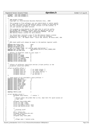<sup>1</sup> **#ifndef** \_\_ASM\_I386\_DPROBES\_H\_\_ <sup>2</sup> **#define** \_\_ASM\_I386\_DPROBES\_H\_\_ 3 <sup>4</sup> /\* <sup>5</sup> \* IBM Dynamic Probes <sup>6</sup> \* Copyright (c) International Business Machines Corp., 2000 <sup>7</sup> \* <sup>8</sup> \* This program is free software; you can redistribute it and/or modify <sup>9</sup> \* it under the terms of the GNU General Public License as published by 10 \* the Free Software Foundation; either version 2 of the License, or<br>11 \* (at your option) any later version. (at your option) any later version.  $\begin{array}{c} 12 \\ 13 \end{array}$ <sup>13</sup> \* This program is distributed in the hope that it will be useful,<br><sup>14</sup> \* but WITHOUT ANY WARRANTY; without even the implied warranty of <sup>14</sup> \* but WITHOUT ANY WARRANTY; without even the implied warranty of <sup>15</sup> \* MERCHANTABILITY or FITNESS FOR A PARTICULAR PURPOSE. See the <sup>16</sup> \* GNU General Public License for more details. <sup>17</sup> \* <sup>18</sup> \* You should have received a copy of the GNU General Public License <sup>19</sup> \* along with this program; if not, write to the Free Software 20 \* Foundation, Inc., 59 Temple Place – Suite 330, Boston, MA 02111-1307, USA.  $21$ 22 23 /\* <sup>24</sup> \* RPN stack width will always be equal to the machine register width.<br><sup>25</sup> \*/  $\star$  / <sup>26</sup> **#define** RPN\_STACK\_SIZE 1024<br>27 **#define** CALL FRAME SIZE 10 <sup>27</sup> **#define** CALL\_FRAME\_SIZE 10<br>28 **#define** NR NESTED CALLS 32 <sup>28</sup> #define NR\_NESTED\_CALLS <sup>29</sup> /\* 1st is a dummy frame, not used by call instruction \*/ <sup>30</sup> **#define** CALL\_STACK\_SIZE (NR\_NESTED\_CALLS+1)\*CALL\_FRAME\_SIZE <sup>31</sup> **#define** FMT\_LOG\_HDR\_SIZE 256 32 33 /\* Offsets of different items on call stack  $*/$ <br>34  $\#$ define OFFSET SBP 0 **#define** OFFSET\_SBP 0<br> **#define** OFFSET GV RANGE 1 <sup>35</sup> **#define** OFFSET\_GV\_RANGE 1 <sup>36</sup> **#define** OFFSET\_LV\_RANGE 3 <sup>37</sup> **#define** OFFSET\_RPN\_STACK\_RANGE 5 38 **#define** OFFSET\_EX\_HANDLER 7<br>39 **#define** OFFSET\_CALLED\_ADDR 8 <sup>39</sup> **#define** OFFSET\_CALLED\_ADDR 8 <sup>40</sup> **#define** OFFSET\_RETURN\_ADDR 9 41 42 /\*<br>43 \* <sup>43</sup> \* offsets of different repitition entries (3 byte prefix) in the<br><sup>44</sup> \* exception stacktrace buffer. <sup>44</sup> \* exception stacktrace buffer.  $\star$ <sup>46</sup> struct ex\_buffer\_offset { <sup>47</sup> unsigned long st; /\* ex stack traces \*/ <sup>48</sup> unsigned long sf; /\* ex stack frames \*/ <sup>49</sup> unsigned long rpn; /\* rpn stack entries \*/ <sup>50</sup> unsigned long lv; /\* lv entries \*/ <sup>51</sup> unsigned long gv; /\* gv entries \*/  $52 \; | \; ;$ 53 <sup>54</sup> /\* Token bytes of all available 3 byte prefixes \*/ <sup>55</sup> **#define** TOKEN\_SEG\_FAULT −2 <sup>56</sup> **#define** TOKEN\_MEMORY\_FAULT −1 <sup>57</sup> **#define** TOKEN\_MEMORY\_LOG 0 58 **#define** TOKEN\_ASCII\_LOG 1<br>59 **#define** TOKEN STACK TRACE 2 <sup>59</sup> **#define** TOKEN\_STACK\_TRACE 2 <sup>60</sup> **#define** TOKEN\_STACK\_FRAME 3 <sup>61</sup> **#define** TOKEN\_RPN\_ENTRY 4 62 **#define** TOKEN\_LV\_ENTRY 5<br>63 **#define** TOKEN\_GV\_ENTRY 5 <sup>63</sup> **#define** TOKEN\_GV\_ENTRY 6 #define TOKEN LOG 65 erection<br> **#define** PREFIX SIZE 3 67 <sup>68</sup> struct dprobes\_struct { 69 units are the status of the status of the status of the status of the status of the status of the status of  $\frac{1}{70}$  m status of the status of the status of the status of the status of the status of the status of the  $/$ \*  $71$   $*$  details about the probe that is hit, kept here for quick access at  $72$  $72$  \* trap1 time.<br> $73$  \*/  $73$   $*/$ <br> $74$   $\text{uns}$ unsigned long probe\_addr; <sup>75</sup> struct pt\_regs \*regs; <sup>76</sup> struct pt\_regs \*uregs; 77 struct dp\_module\_struct \*mod;<br>78 struct dp\_record struct \*rec; struct dp\_record\_struct \*rec; 79 80  $/$  \*  $\frac{1}{81}$  \* aliasing stuff  $\begin{array}{ccc} 82 & & & \star \end{array}$ <br>83 Die 83 pte\_t \*alias\_pte;<br>84 mnsiqued long ali 84  $unsigned long alias_pte_val;$ void \*alias\_addr;  $86$  unsigned long reset addr; 87 <sup>88</sup> /\* <sup>89</sup> \* eflags save / restore area. <sup>90</sup> \* Registered Version: Dynamic Probes **dprobes.h** Exhibit 7.1−5 pg 1/3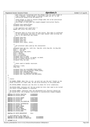```
91 * Both these are initalized with the eflags from the stack frame in<br>* tran 3 handler, saved eflags is edited to mask out IF, if the
                   boen these are initialized with the eriugs from the stath frame transmitted to mask out IF, if the
93 * instruction being ss'ed can modify IF.<br>
<sup>94</sup> *
 94 *
95 * saved_eflags is used to restore eflags when the ss'ed instruction
                 * is executed successfully.
97 * old_eflags is used when the single−stepped instruction faults.
\frac{98}{99} */<br>\frac{1}{2} \frac{1}{2} \frac{1}{2}99 unsigned long saved_eflags;<br>100 unsigned long old eflags;
               unsigned long old_eflags;
101
102 /* fpu registers are saved here */
103 union i387_union fpu_save_area;
104
105 / *
106 * Optional data to store with the log record. This data is collected
107 * in the interpreter and used in the trap1 handler when writing the
108 * log to the specified log target.<br>109 */\frac{109}{110} */
110 unsigned long eip;
111 unsigned short cs;
112 unsigned long esp;
113 unsigned short ss;
114 unsigned short major, minor;
115
116 /*
117 * per−processor data used by the interpreter.
118 */
119 unsigned long rpn_tos, call_tos, log_len, prev_log_len, ex_log_len;<br>
http://www.test.com/example.com/example.com/example.com/example.com/example.com/example.com/example.com/example.com/example.com/example.com/example.c
120 byte_t * rpn_code;
121 byte_t * rpn_ip;
\frac{21}{22} unsigned short jmp_count;
123 byte_t opcode;<br>124 byte_t reserve
124 byte_t reserved;<br>125 byte t ex pendin
125 byte_t ex_pending;
126 unsigned long ex_code;
127 unsigned long ex_parm1, ex_parm2, ex_hand;
128 struct ex_buffer_offset ex_off;
129 unsigned long rpn_sbp;
130
131 / *
<sup>131</sup><br>132 * locks used to handle recursion.
\frac{133}{134} */<br>134 Spi
134 spinlock_t lock;<br>
135 10nq sem;
               long sem;
136
137 unsigned long rpn_stack[RPN_STACK_SIZE];<br>138 unsigned long call stack[CALL STACK SIZE
138 unsigned long call_stack[CALL_STACK_SIZE];
139 unsigned char log[LOG_SIZE];
140 unsigned char ex_log[EX_LOG_SIZE];
141 unsigned char log_hdr[FMT_LOG_HDR_SIZE];
142 };
143
144 /*<br>145 *
     * status
146<br>147
     * DP_KENREL_PROBE: When this is set, we will not use the pte* fields in the
148 * alias structure at trap1 time, we can write directly to the probe_addr.
149<br>150
      * DP_STATUS_ERROR: Contains all the bits to check for error conditions.
151 *
152 * DP_STATUS_DONE: Contains all the per−probe hit bits that need to be turned
     * off after a probe handler is executed.
154 *
155 * DP_STATUS_ABORT: Indicates that the designated exit facility should not
156 * be called after the original instruction is successfully single−stepped.
157 + 7<br>158 + 4de
    158 #define DP_STATUS_INACTIVE 0x00000000
159 #define DP_STATUS_ACTIVE
160
161 #define DP_STATUS_ERROR 0x00ff0000
162 #define DP_STATUS_GPF 0x00010000
163 #define DP_STATUS_PF 0x00020000
164 #define DP_STATUS_LOG_OVERFLOW 0x00040000
165
166 #define DP_STATUS_INTERPRETER 0x01000000
167 #define DP_STATUS_SS 0x02000000
168 #define DP_KERNEL_PROBE 0x040000000<br>169 #define DP_USER_PROBE 0x080000000
169 #define DP_USER_PROBE 0x08000000
170 #define DP_STATUS_ABORT 0x10000000
171 #define DP_STATUS_FIRSTFPU 0x20000000
172 #define DP_STATUS_DONE 0xffff0000
173
174 #define DP_INSTR_BREAKPOINT 0xcc
175
176 /* arch-specific rec flags */<br>177 #define DP REC OPCODE EMULATE
177 #define DP_REC_OPCODE_EMULATED 0x01000000<br>178 #define DP_REC_OPCODE_IF_MODIFIER 0x02000000
    #define DP_REC_OPCODE_IF_MODIFIER
179
180 #ifndef EF_CF
Registered Version: Dynamic Probes dprobes.h dprobes.h Exhibit 7.1–5 pg 2/3
```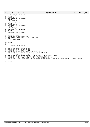|            | <b>Registered Version: Dynamic Probes</b> |                                                                                                      | dprobes.h                                                                                                | Exhibit $7.1-5$ pg $3/3$ |
|------------|-------------------------------------------|------------------------------------------------------------------------------------------------------|----------------------------------------------------------------------------------------------------------|--------------------------|
| 181        | #define EF CF                             | 0x00000001                                                                                           |                                                                                                          |                          |
| 182        | #endif                                    |                                                                                                      |                                                                                                          |                          |
| 183        | #ifndef EF TF                             |                                                                                                      |                                                                                                          |                          |
| 184        | #define EF TF                             | 0x00000100                                                                                           |                                                                                                          |                          |
| 185        | #endif                                    |                                                                                                      |                                                                                                          |                          |
| 186        | #ifndef EF IE                             | 0x00000200                                                                                           |                                                                                                          |                          |
| 187        | #define EF IE<br>#endif                   |                                                                                                      |                                                                                                          |                          |
| 188        | 189 #ifndef EF DF                         |                                                                                                      |                                                                                                          |                          |
| 190        | #define EF DF                             | 0x00000400                                                                                           |                                                                                                          |                          |
| 191        | #endif                                    |                                                                                                      |                                                                                                          |                          |
|            | 192 #ifndef EF RF                         |                                                                                                      |                                                                                                          |                          |
| 193        | #define EF RF                             | 0x00010000                                                                                           |                                                                                                          |                          |
| 194        | #endif                                    |                                                                                                      |                                                                                                          |                          |
| 195        |                                           |                                                                                                      |                                                                                                          |                          |
| 196        | #define CRO_TS 0x00000008                 |                                                                                                      |                                                                                                          |                          |
| 197        |                                           |                                                                                                      |                                                                                                          |                          |
| 198        | #ifndef HAVE_HWFP                         |                                                                                                      |                                                                                                          |                          |
| 199        | #ifdef CONFIG MATH EMULATION              |                                                                                                      |                                                                                                          |                          |
| 200        |                                           | #define HAVE HWFP (boot cpu data.hard math)                                                          |                                                                                                          |                          |
| 201        | #else                                     |                                                                                                      |                                                                                                          |                          |
| 202        | #define HAVE HWFP 1<br>#endif             |                                                                                                      |                                                                                                          |                          |
| 203<br>204 | #endif                                    |                                                                                                      |                                                                                                          |                          |
| 205        |                                           |                                                                                                      |                                                                                                          |                          |
| 206        | $/$ *                                     |                                                                                                      |                                                                                                          |                          |
| 207        | Function declarations<br>$\star$          |                                                                                                      |                                                                                                          |                          |
| 208        | $\star$ /                                 |                                                                                                      |                                                                                                          |                          |
| 209        |                                           | extern void dp_interpreter(void);                                                                    |                                                                                                          |                          |
| 210        |                                           | extern int dp $qpf(struct$ pt regs *);                                                               |                                                                                                          |                          |
| 211        |                                           | extern int dp pf(struct pt reqs $*$ );                                                               |                                                                                                          |                          |
| 212        |                                           | <b>extern</b> int dp handle fault(struct pt regs $*$ );                                              |                                                                                                          |                          |
| 213        |                                           | extern int dp_do_debug(struct pt_regs *, unsigned long);                                             |                                                                                                          |                          |
| 214        |                                           | extern int dp trapl(struct pt reqs $*$ );                                                            |                                                                                                          |                          |
| 215        |                                           | <b>extern</b> int $dp_{\text{trap}}(struct\ pt_{\text{reqs}} *$ , int, unsigned int, unsigned long); |                                                                                                          |                          |
| 216        |                                           | <b>extern</b> int dp_seq_to_flat(unsigned long, unsigned long, void **);                             |                                                                                                          |                          |
| 217<br>218 |                                           | extern int _remove_probe(byte_t *, struct dp_record_struct *);                                       | extern int _insert_probe(byte_t *, struct dp_record_struct *, struct dp_module_struct *, struct page *); |                          |
| 219        |                                           |                                                                                                      |                                                                                                          |                          |
| 220        | #endif                                    |                                                                                                      |                                                                                                          |                          |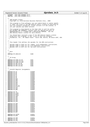<sup>1</sup> **#ifndef** \_\_ASM\_I386\_DPROBES\_IN\_H\_\_ <sup>2</sup> **#define** \_\_ASM\_I386\_DPROBES\_IN\_H\_\_ 3 <sup>4</sup> /\* <sup>5</sup> \* IBM Dynamic Probes <sup>6</sup> \* Copyright (c) International Business Machines Corp., 2000 <sup>7</sup> \* <sup>8</sup> \* This program is free software; you can redistribute it and/or modify <sup>9</sup> \* it under the terms of the GNU General Public License as published by 10 \* the Free Software Foundation; either version 2 of the License, or<br>11 \* (at your option) any later version. \* (at your option) any later version.  $\begin{array}{c} 12 \\ 13 \end{array}$ <sup>13</sup> \* This program is distributed in the hope that it will be useful,<br><sup>14</sup> \* but WITHOUT ANY WARRANTY; without even the implied warranty of <sup>14</sup> \* but WITHOUT ANY WARRANTY; without even the implied warranty of <sup>15</sup> \* MERCHANTABILITY or FITNESS FOR A PARTICULAR PURPOSE. See the <sup>16</sup> \* GNU General Public License for more details.  $17$ <br>18 <sup>18</sup> \* You should have received a copy of the GNU General Public License <sup>19</sup> \* along with this program; if not, write to the Free Software <sup>20</sup> \* Foundation, Inc., 59 Temple Place − Suite 330, Boston, MA 02111−1307, USA.  $21$ 22 23 /\*<br>24 \* \* This header file defines the opcodes for the RPN instructions <sup>25</sup> \* <sup>26</sup> \* Opcodes 0x00 to 0xAF are for common, arch−independent instructions. <sup>27</sup> \* Opcodes 0xB0 to 0xDF are for arch−dependent instructions. <sup>28</sup> \* Opcodes 0xF1 to 0xFF are for two byte instructions. 29 30 31 /\*<br>32 \* \* Misc <sup>33</sup> \*/ <sup>34</sup> **#define** DP\_SEG2LIN 0xB0 35  $36$  $\begin{array}{ccc} 37 & * & IO \text{ Group.} \\ 38 & * & / \end{array}$  $38 + /$ <br> $39 + 4 =$ <sup>39</sup> **#define** DP\_PUSH\_IO\_U8 0xB1<br>40 **#define** DP PUSH IO U16 0xB2 <sup>40</sup> **#define** DP\_PUSH\_IO\_U16 0xB2 <sup>41</sup> **#define** DP\_PUSH\_IO\_U32 0xB3 <sup>42</sup> **#define** DP\_POP\_IO\_U8 0xB4 43 **#define** DP\_POP\_IO\_U16 0xB5<br>44 **#define** DP\_POP\_IO\_U32 0xB6 <sup>44</sup> **#define** DP\_POP\_IO\_U32 0xB6 45  $46$ <br> $47$ 47 \* Intel32 Register Assignments.<br>48 \*/ <sup>48</sup> \*/ <sup>49</sup> **#define** DP\_CS 0x0000 <sup>50</sup> **#define** DP\_DS 0x0001 <sup>51</sup> **#define** DP\_ES 0x0002 <sup>52</sup> **#define** DP\_FS 0x0003 **#define** DP\_GS 0x0004<br> **#define** DP SS 0x0005 <sup>54</sup> **#define** DP\_SS 0x0005 **#define** DP<sup>\_</sup>EAX 0x0006<br>
#define DP\_EBX 0x0007 <sup>56</sup> **#define** DP\_EBX 0x0007 <sup>57</sup> **#define** DP\_ECX 0x0008 <sup>58</sup> **#define** DP\_EDX 0x0009 **#define** DP\_EDI 0x000a<br> **#define** DP\_ESI 0x000b <sup>60</sup> **#define** DP\_ESI 0x000b 61 **#define** DP\_EFLAGS 0x000c<br>62 **#define** DP\_EIP 0x000d 62 **#define** DP\_EIP 0x000d<br>63 **#define** DP\_ESP 0x000e <sup>63</sup> **#define** DP\_ESP 0x000e #define DP EBP 65 <sup>66</sup> **#define** DP\_TR 0x0020<br>
67 **#define** DP\_LDTR 0x0021 67 **#define** DP\_LDTR 0x0021<br>68 **#define** DP\_GDTR 0x0021 **#define** DP\_GDTR  $0 \times 0022$ <br> **#define** DP\_IDTR 0x0023 <sup>69</sup> **#define** DP\_IDTR 0x0023 **#define** DP\_CR0 0x0024<br> **#define** DP\_CR1 0x0025 71 **#define** DP\_CR1 0x0025<br>72 **#define** DP\_CR2 0x0026 72 **#define** DP<sup>\_</sup>CR2 0x0026<br>
73 **#define** DP\_CR3 0x0027 73 **#define** DP\_CR3 0x0027<br>74 **#define** DP\_CR4 0x0028 #define DP\_CR4 75 <sup>76</sup> **#define** DP\_DR0 0x002c 77 **#define** DP\_DR1 0x002d<br>
78 **#define** DP\_DR2 0x002e 78 **#define** DP\_DR2 0x002e<br> **4define** DP\_DR3 0x002f **#define** DP\_DR3 0x002f<br>
#define DP\_DR4 0x0030 80 **#define** DP\_DR4 0x0030<br>81 **#define** DP\_DR5 0x0031 81 **#define** DP\_DR5 0x0031<br>82 **#define** DP\_DR5 0x0032 82 **#define** DP\_DR6 0x0032<br>83 **#define** DP\_DR7 0x0033 #define DP\_DR7 84 <sup>85</sup> **#define** DP\_CPUID 0x003c<br>86 **#define** DP\_MSR 0x003d 86 **#define** DP\_MSR 87 88 **#define** DP\_FR0 0x003e<br>89 **#define** DP\_FR1 0x003f **#define** DP\_FR1 0x003f<br> **#define** DP\_FR2 0x0040 Registered Version: Dynamic Probes **dprobes\_in.h** Exhibit 7.1–6 pg 1/2

90 **#define** DP FR2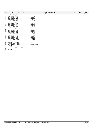| Registered Version: Dynamic Probes |            | dprobes in.h | Exhibit $7.1-6$ pg $2/2$ |
|------------------------------------|------------|--------------|--------------------------|
| #define DP_FR3<br>91               | 0x0041     |              |                          |
| #define DP FR4<br>92               | 0x0042     |              |                          |
| #define DP FR5<br>93               | 0x0043     |              |                          |
| #define DP FR6<br>94               | 0x0044     |              |                          |
| #define DP FR7<br>95               | 0x0045     |              |                          |
| #define DP_FCW<br>96               | 0x0046     |              |                          |
| #define DP FSW<br>97               | 0x0047     |              |                          |
| #define DP FTW<br>98               | 0x0048     |              |                          |
| #define DP_FIP<br>99               | 0x0049     |              |                          |
| #define DP FCS<br>100              | 0x004a     |              |                          |
| #define DP FDP<br>101              | 0x004b     |              |                          |
| #define DP FDS<br>102              | 0x004c     |              |                          |
| 103                                |            |              |                          |
| #define DP XMM0<br>104             | 0x004d     |              |                          |
| #define DP XMM1<br>105             | 0x004e     |              |                          |
| #define DP XMM2<br>106             | 0x004f     |              |                          |
| #define DP XMM3<br>107             | 0x0050     |              |                          |
| #define DP XMM4<br>108             | 0x0051     |              |                          |
| #define DP XMM5<br>109             | 0x0052     |              |                          |
| #define DP_XMM6<br>110             | 0x0053     |              |                          |
| #define DP XMM7<br>111             | 0x0054     |              |                          |
| #define DP MXCSR<br>112            | 0x0055     |              |                          |
| 113                                |            |              |                          |
| #ifndef KERNEL<br>114              |            |              |                          |
| #ifndef PAGE OFFSET<br>115         |            |              |                          |
| #define PAGE OFFSET<br>116         | 0xc0000000 |              |                          |
| #endif<br>117                      |            |              |                          |
| #endif $/*$ ! KERNEL $*/$<br>118   |            |              |                          |
| 119                                |            |              |                          |
| #endif<br>120                      |            |              |                          |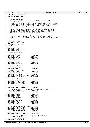**#ifndef** \_LINUX\_DPROBES\_H **#define** \_LINUX\_DPROBES\_H /\* <sup>5</sup> \* IBM Dynamic Probes \* Copyright (c) International Business Machines Corp., 2000 \* \* This program is free software; you can redistribute it and/or modify \* it under the terms of the GNU General Public License as published by <sup>10</sup> \* the Free Software Foundation; either version 2 of the License, or<br><sup>11</sup> \* (at your option) any later version. (at your option) any later version. <br> $13$ <sup>13</sup> \* This program is distributed in the hope that it will be useful,<br><sup>14</sup> \* but WITHOUT ANY WARRANTY; without even the implied warranty of \* but WITHOUT ANY WARRANTY; without even the implied warranty of <sup>15</sup> \* MERCHANTABILITY or FITNESS FOR A PARTICULAR PURPOSE. See the \* GNU General Public License for more details. <br> $18$  \* You should have received a copy of the GNU General Public License <sup>19</sup> \* along with this program; if not, write to the Free Software \* Foundation, Inc., 59 Temple Place − Suite 330, Boston, MA 02111−1307, USA. **#ifdef** \_\_KERNEL\_\_ <sup>24</sup> **#include** <linux/types.h> **#else** 26 **#include** <sys/types.h><br>27 **#endif #endif** <sup>29</sup> **#define** DP\_MAJOR\_VER 3 <sup>30</sup> **#define** DP\_MINOR\_VER 6 **#define** DP\_PATCH\_VER 3 33  $/*$  main command codes  $*/$ <br>34  $\#$ define DP CMD MASK <sup>34</sup> **#define** DP\_CMD\_MASK 0x000000ff<br>35 **#define** DP\_INSERT 0x000000001 <sup>35</sup> **#define** DP\_INSERT 0x00000001 **#define** DP\_REMOVE 0x00000002 **#define** DP\_GETVARS 0x00000004 38 **#define** DP\_QUERY 0x000000000<br>39 **#define** DP\_HELP 0x000000010 <sup>39</sup> **#define** DP\_HELP 0x00000010<br>40 **#define** DP\_VERSTON 0x00000020 <sup>40</sup> **#define** DP\_VERSION 0x00000020 <sup>41</sup> **#define** DP\_BUILDPPDF 0x00000040 **#define** DP\_APPLYPPDF 0x00000080 44 /\* command modifiers \*/<br>45 #define DP FLAGS MASK <sup>45</sup> **#define** DP\_FLAGS\_MASK 0xff000000 **#define** DP\_ALL 0x80000000 48  $/*$  insert cmd modifiers  $*/$ <br>49  $\#$ define DP MERGE **#define** DP\_MERGE 0x01000000<br> **#define** DP\_REPLACE 0x02000000 <sup>50</sup> **#define** DP\_REPLACE 0x02000000 **#define** DP\_STOP\_CPUS 0x04000000 **#define** DP\_DONT\_VERIFY\_OPCODES 0x08000000 #define DP\_AUTOSTACKTRACE /\* getvars cmd modifiers \*/ **#define** DP\_GETVARS\_INDEX 0x01000000 <sup>57</sup> **#define** DP\_GETVARS\_RESET 0x02000000 **#define** DP\_GETVARS\_LOCAL 0x04000000 #define DP\_GETVARS\_GLOBAL /\* query cmd modifiers \*/ **#define** DP\_QUERY\_EXTENDED 0x01000000 /\* pgm->flags: default data that will be part of each log record \*/<br>#define DP LOG MASK 0x0000ff00 <sup>65</sup> **#define** DP\_LOG\_MASK 0x0000ff00 **#define** DP\_LOG\_PROCNAME 0x00000100 67 **#define** DP\_LOG\_PID 0x00000200<br>68 **#define** DP\_LOG\_UID 0x00000400 **#define** DP\_LOG\_UID 0x0000040<br> **#define** DP\_LOG\_NIP 0x00000800 <sup>69</sup> **#define** DP\_LOG\_NIP 0x00000800 **#define** DP\_LOG\_PSW 0x00000800 71 **#define** DP\_LOG\_UPSW 0x00001000<br>72 **#define** DP\_LOG\_SS\_ESP 0x00000800 **#define** DP\_LOG\_SS\_ESP 0x00000800 73 **#define** DP\_LOG\_CS\_EIP 0x00001000<br>
74 **#define** DP\_LOG\_TSC 0x00002000 #define DP\_LOG\_TSC <sup>75</sup> **#define** DP\_LOG\_CPU 0x00004000 **#define** DP\_LOG\_ALL 0x0000ff00 /\* pgm−>flags: default log target \*/ **#define** DP\_LOG\_TARGET\_MASK 0x00ff0000 <sup>80</sup> **#define** DP\_LOG\_TARGET\_KLOG 0x00010000 <sup>81</sup> **#define** DP\_LOG\_TARGET\_LTT 0x00020000 **#define** DP\_LOG\_TARGET\_COM1 0x00040000 <sup>83</sup> **#define** DP\_LOG\_TARGET\_COM2 0x00080000 **#define** DP\_LOG\_TARGET\_EVL 0x00100000 86 /\* exit facilities for use with "exit\_to" instruction \*/<br>87 **#define** DP EXIT TO SGI KDB 0x01 **#define** DP\_EXIT\_TO\_SGI\_KDB 0x01 <sup>88</sup> **#define** DP\_EXIT\_TO\_SGI\_VMDUMP 0x02 **#define** DP\_EXIT\_TO\_CORE\_DUMP 0x03 Registered Version: Dynamic Probes **dprobes.h** Exhibit 7.1−7 pg 1/7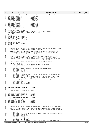```
91 /* bit flags to indicate elements present in the trace buffer header. */
92 #define DP_HDR_MAJOR 0x00000001
93 #define DP_HDR_MINOR 0x00000002
     94 #define DP_HDR_CPU 0x00000004
 95 #define DP_HDR_PID 0x00000008
96 #define DP_HDR_UID 0x00000010
97 #define DP_HDR_CS 0x00000020<br>98 #define DP_HDR_ETP 0x000000040
98 #define DP_HDR_EIP 0x00000040
99 #define DP_HDR_SS 0x00000080
100 #define DP_HDR_ESP 0x00000100
101 #define DP_HDR_TSC 0x00000200
102 #define DP_HDR_PROCNAME 0x00000400
103
104 typedef unsigned char byte_t;
105 /* FIXME: Well, we're working on getting this in arch headers */
106 #if defined(CONFIG_X86) || defined(CONFIG_IA64)
107 typedef byte_t opcode_t;
108 #endif
     109 #ifdef CONFIG_ARCH_S390X
110 typedef u_int16_t opcode_t;
111 #elif CONFIG_ARCH_S390 
112 typedef u_int16_t opcode_t;
113 #endif
114 #ifdef CONFIG_PPC
    typedef u_int32_t opcode_t;
116 #endif
117
118 /119 * This captures the header information of each probe point. It also contains
120 * links to the rpn code of this dprobe handler.
121<br>122
122 * maxhits: This field indicates the number of times this probe will be<br>123 * executed before being disabled. A negative value here means that the
<sup>123</sup> * executed before being disabled. A negative value here means that the<br><sup>124</sup> * probe will not be disabled automatically.
     * probe will not be disabled automatically.
125<br>126<sup>126</sup> * count: This field keeps track of number of times this probe is hit,<br><sup>127</sup> * and executed successfully. There is a reason this is "long" and not<br><sup>128 *</sup> "unsigned long". We would implement "pass-count" feature that 
129 * the number of times we pass over this probe with actually executing the<br>130 * probe handler, using the fact that count is a signed value.
      * probe handler, using the fact that count is a signed value.<br>*/
131 */
132 struct dp_point_struct {
133 loff that the contract of the offset or absolute address */<br>134 loff that insigned short address flag;
134 unsigned short address_flag;<br>135 0pcode t opcode;
135 opcode_t opcode;
136 opcode_t actual_opcode; /* in case of opcode mismatch */
137 unsigned short major;<br>138 unsigned short major;
138 unsigned short minor;<br>139 unsigned short group
139 unsigned short group;<br>140 unsigned short type;
140 unsigned short type;
141 unsigned long rpn_offset; /* offset into rpn_code of dp_pgm_struct */
142 unsigned long rpn_end;<br>143 unsigned short probe;
                unsigned fong r<sub>pn</sub>-chan<br>unsigned short probe; /* watchpoint info, probe and access types */
144 unsigned long len; /* range of the watchpoint probe */
145 int dbregno; /* the debug reg used for this watchpoint */
146 long maxhits;
147 long passcount;
148 unsigned char logonfault;<br>149 unsigned short ex-mask;
                unsigned short ex_mask;
150 };
151
152 #define DP_ADDRESS_ABSOLUTE 0x0001
153
154 /*
155 * Flags related to watchpoint probes.
156 */<br>157 #de
<sup>157</sup> #define DP_PROBE_BREAKPOINT 0x8000<br>158 #define DP PROBE WATCHPOINT 0x4000
     158 #define DP_PROBE_WATCHPOINT 0x4000
159 #define DP_PROBE_MASK
160
161 #define DP_WATCHTYPE_EXECUTE 0x0000
162 #define DP_WATCHTYPE_WRITE 0x0001
163 #define DP_WATCHTYPE_IO 0x0002<br>164 #define DP_WATCHTYPE_RDWR 0x0003
164 #define DP_WATCHTYPE_RDWR<br>165 #define DP WATCHTYPE MASK
    165 #define DP_WATCHTYPE_MASK 0x0003
166
167 \begin{array}{ccc} \n\sqrt{7} \\
\end{array} 168
      * This captures the information specified in the dprobe program file header.
169
170 * User application passes the details of the pgm header to the system call in
171 * this structure. It is also used in the kernel as part of dp_module_struct.
172 + 7<br>173 SLI173 struct dp_pgm_struct {
174 unsigned char *name; /* module for which the probe program is written */
175 unsigned long flags;
176 unsigned short major;<br>177 unsigned long id;
177 unsigned long id;<br>178 unsigned short jm
178 unsigned short jmpmax;
179 unsigned short logmax;
180 unsigned short ex_logmax; /* length of exception stack trace buffer */
Registered Version: Dynamic Probes dprobes.h dprobes.h Exhibit 7.1−7 pg 2/7
```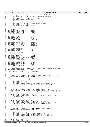<sup>181</sup> unsigned short num\_lv; /\* num of local variables \*/ <sup>182</sup> unsigned short num\_gv; /\* num of global variables \*/ 183 <sup>184</sup> unsigned short rpn\_length; /\* rpn code \*/ <sup>185</sup> unsigned char autostacktrace; <sup>186</sup> byte\_t \*rpn\_code; 187 188 unsigned short align; /\* kernel module alignment \*/<br>189 unsigned short num points; 189 unsigned short num\_points;<br>190 struct do point struct \*po struct dp\_point\_struct \*point; <sup>191</sup> }; 192  $193$  /\* pgm flags \*/<br> $194$  **#define** DP MODT 194 **#define** DP\_MODTYPE\_MASK 0x000f<br>195 **#define** DP\_MODTYPE\_USER 0x0001 <sup>195</sup> **#define** DP\_MODTYPE\_USER 0x0001 <sup>196</sup> **#define** DP\_MODTYPE\_KERNEL 0x0002 <sup>197</sup> **#define** DP\_MODTYPE\_KMOD 0x0004 198 199 **#define** LOG\_SIZE 1024<br>200 **#define** EX LOG SIZE 1024 <sup>200</sup> **#define** EX\_LOG\_SIZE 1024 <sup>201</sup> **#define** JMP\_MAX 65535 <sup>202</sup> **#define** MAX\_MAXHITS 0x7fffffff 203 204 **#define** DEFAULT\_LOGMAX LOG\_SIZE<br>205 **#define** DEFAULT\_EX\_LOG\_MAX EX\_LOG\_SIZE <sup>205</sup> **#define** DEFAULT\_EX\_LOG\_MAX EX\_LOG\_SIZE <sup>206</sup> **#define** DEFAULT\_JMPMAX JMP\_MAX <sup>207</sup> **#define** DEFAULT\_MAXHITS MAX\_MAXHITS 208 <sup>209</sup> /\* compiled in limits \*/ <sup>210</sup> **#define** DP\_MAX\_LVARS 256 <sup>211</sup> **#define** DP\_MAX\_GVARS 256 212 213  $/*$  exception codes  $*$ <br>214  $\#$ define EX INVALID A **#define** EX\_INVALID\_ADDR 0x0001<br> **#define** EX\_SEG\_EAULT 215 **#define** EX\_SEG\_FAULT 0x0002<br>216 **#define** EX\_MAX JMPS 0x0004 **#define** EX\_MAX\_JMPS 0x0004<br>**#define** EX\_CALL STACK\_OVERFLOW 0x0010 217 **#define** EX\_CALL\_STACK\_OVERFLOW 0x0010<br>218 **#define** EX\_DIV\_BY\_ZERO 0x0020 218 **#define** EX\_DIV\_BY\_ZERO 0x0020<br>219 **#define** EX\_INVALID\_OPERAND 0x0040 **#define** EX\_INVALID\_OPERAND 0x0040<br> **#define** EX\_INVALID\_OPCODE 0x0080 220 **#define** EX\_INVALID\_OPCODE 0x0080<br>221 **#define** EX LOG OVERFLOW 0x1000 <sup>221</sup> **#define** EX\_LOG\_OVERFLOW 0x1000 <sup>222</sup> **#define** EX\_RPN\_STACK\_WRAP 0x2000 <sup>223</sup> **#define** EX\_USER  $\overline{O}$  0x8000<br>224 **#define** DEFAULT EX MASK 0x0fff #define DEFAULT\_EX\_MASK 225 <sup>226</sup> /\* If a non−maskable ex is masked out, the interpreter will be terminated. \*/ <sup>227</sup> **#define** EX\_NON\_MASKABLE\_EX 0x0fff 228 <sup>229</sup> **#define** EX\_NO\_HANDLER 0xffffffff  $230$  $231 /$ 232 \* This defines the Dynamic Probe getvars Request Packet, passed in from<br>233 \* the user for subfunction DP GETVARS. <sup>2</sup> this defined the *by* names  $\frac{1}{2}$  ... <sup>234</sup> \*/ <sup>235</sup> struct dp\_getvars\_in\_struct { <sup>236</sup> unsigned char \*name; /\* loadable module name \*/ <sup>237</sup> unsigned short from; 238 unsigned short to:<br>239 unsigned long allo <sup>239</sup> unsigned long allocated; /\* Allocated size of result pkt \*/ <sup>240</sup> unsigned long returned; /\* Returned size of result pkt \*/ <sup>241</sup> }; 242  $243 / *$ <br>244 \* \* The output from getvars command is returned in this format. First all<br>\* global variables will be there as do getvars global out strugt follows <sup>245</sup> \* global variables will be there as dp\_getvars\_global\_out\_struct followed <sup>246</sup> \* by local variables for each module in form of dp\_getvars\_local\_out\_struct.  $247 + /$ <br>248 struct dp\_getvars\_global\_out\_struct <sup>249</sup> unsigned long num\_vars; /\* number of the variables to follow \*/ <sup>250</sup> /\* variables \*/ <sup>251</sup> }; 252 253 struct dp\_getvars\_local\_out\_struct<br>  $254$   $unsinned$  long length; /\* <sup>254</sup> unsigned long length; /\* length of this element \*/ <sup>255</sup> unsigned long num\_vars; /\* number of the variables to follow \*/ <sup>256</sup> /\* variables followed by the name of loadable module\*/ <sup>257</sup> }; 258 259  $/$ \* <sup>260</sup> \* This defines the Dynamic Probe query Request Packet passed in <sup>261</sup> \* from the user for subfunction DP\_QUERY.  $262$  \*/<br>263 Str 263 struct dp\_query\_in\_struct {<br>
264 unsigned char \*name <sup>264</sup> unsigned char \*name; /\* loadable module name \*/ <sup>265</sup> unsigned long allocated; /\* Allocated size of result pkt \*/ <sup>266</sup> unsigned long returned; /\* Returned size of result pkt \*/  $267$  } ; 268 <sup>269</sup> struct dp\_outrec\_struct { <sup>270</sup> unsigned long status; Registered Version: Dynamic Probes **dprobes.h dprobes.h** Exhibit 7.1−7 pg 3/7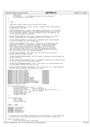<sup>271</sup> long count;<br><sup>272</sup> int dbregno; int dbregno; /\* the debug reg used for this watchpoint \*/ 273 struct dp\_point\_struct point;<br>274 }; }; 276  $/*$  \* flags 278<br>279 Initially a probe record starts out with zero flags. 280<br>281 DP\_REC\_STATUS\_COMPILED: A probe record is compiled, after successfully  $282 \times \text{vali}$   $\overline{a}$   $\overline{b}$   $\overline{c}$   $\overline{c}$   $\overline{d}$   $\overline{c}$   $\overline{c}$   $\overline{c}$   $\overline{d}$   $\overline{d}$   $\overline{c}$   $\overline{c}$   $\overline{c}$   $\overline{c}$   $\overline{c}$   $\overline{c}$   $\overline{c}$   $\overline{c}$   $\overline{c}$   $\overline{c}$   $\overline{c}$   $\overline{c}$   $\overline{c}$  \* \* DP\_REC\_STATUS\_ACTIVE: A probe record becomes valid after it is verified<br> $285$  \* that the opcode as specified in the probe program matches with the one \* that the opcode as specified in the probe program matches with the one <sup>286</sup> \* at the specified location. We would probably do this verification the \* first time this probe is inserted. 288<br>289 \* DP\_REC\_STATUS\_MISMATCH: This means the opcode specified by the probe  $*$  does not match with the one present when we try to insert it. \* does not match with the one present when we try to insert it. 291  $*$ <sup>292</sup> \* DP\_REC\_STATUS\_DISABLED: A probe will be disabled after being executed  $*$  for max-hit number of times automatically. \* for max−hit number of times automatically. 294<br>295 \* DP\_REC\_STATUS\_REMOVED: The status of a probe will be removed if user \* explicitly removes it using dprobe −−remove −−major−minor command. \* Note that if a specific probe is removed by its major−minor, we \* don't remove the dp\_record\_struct from memory as it is too much<br>\* work. We simply note that fact in the status flags and leave the<br>\* dp\_record\_struct alone. But, if an entire probe program is removed,<br>\* all its structure \* \* DP\_REC\_STATUS\_EXCLUDED: This means that the probe falls within the <sup>304</sup> \* DProbes defined exclude regions. 305<br>306 \* DP\_REC\_STATUS\_EXCLUDED\_OPCODE: Set for probes on opcodes on which probes are \* are not allowed. 308<br>309 \* DP\_REC\_STATUS\_INVALID\_OFFSET: Set if the address specified for probe insertion \* is out of bounds for that executable module. \* 312 \* DP\_REC\_STATUS\_DEBUGREG\_UNAVAIL: Set if the probe is of type watchpoint and 313 \* no free debug registers are free for use. \* <sup>315</sup> \* DP\_REC\_STATUS\_WATCHPOINT\_LEN\_INVALID: Set if the probe is of type watchpoint \* and the range of address specified is not valid. 318 **#define** DP\_REC\_STATUS\_COMPILED  $0 \times 0000000001$ <br>319 **#define** DP\_REC\_STATUS\_ACTIVE 0x0000000002 **#define** DP\_REC\_STATUS\_ACTIVE  $\begin{array}{ccc}\n 0 \times 0 & 0 & 0 & 0 & 0 \\
 \text{4.4 of the DDP/RC} & 0 \times 0 & 0 & 0 & 0 \\
 \end{array}$ <sup>320</sup> **#define** DP\_REC\_STATUS\_MISMATCH 0x00000004 **#define** DP\_REC\_STATUS\_DISABLED 0x00000008 <sup>322</sup> **#define** DP\_REC\_STATUS\_REMOVED 0x00000010<br>323 **#define** DP\_REC\_STATUS\_EXCLUDED 0x00000020 **#define** DP\_REC\_STATUS\_EXCLUDED 0x00000020 <sup>324</sup> **#define** DP\_REC\_STATUS\_EXCLUDED\_OPCODE 0x00000040 **#define** DP\_REC\_STATUS\_INVALID\_OFFSET 0x00000080 **#define** DP\_REC\_STATUS\_DEBUGREG\_UNAVAIL 0x00000100 <sup>327</sup> **#define** DP\_REC\_STATUS\_WATCHPOINT\_LEN\_INVALID 0x00000200 **#define** DP\_REC\_STATUS\_DEBUGREG\_PATCH\_NEEDED 0x00000400 **#define** DP\_REC\_ARCH\_FLAGS 0xff000000 331 struct dp outmod struct { <sup>332</sup> struct dp\_outmod\_struct \*next; /\* link \*/ <sup>333</sup> unsigned long flags; /\* cmdline switches \*/ <sup>334</sup> struct dp\_outrec\_struct \* rec; /\* array of dp\_outrec\_structs. \*/ unsigned long \* lv; /\* local variables \*/ 336 struct dp\_pgm\_struct pgm;<br>336 struct dp\_pgm\_struct pgm;<br>337 unsigned long base; <sup>337</sup> unsigned long base; unsigned long end; }; struct dp\_ioctl\_arg {<br> $342$  void \* input; void \* input; <sup>343</sup> void \* output; unsigned long cmd; }; **#ifdef** \_\_KERNEL\_\_ **#include** <linux/sched.h> **#include** <linux/mm.h> **#include** <asm/page.h> **#include** <asm/pgtable.h> #include <asm/ptrace.h> 355  $/*$  \* In addition to the header information of each probe point, we also have hash <sup>357</sup> \* chains to get to the dprobe record quickly in the kernel at trap3 time. \*/<br>359 Str struct dp\_record\_struct { struct dp\_record\_struct \*next\_hash; Registered Version: Dynamic Probes **dprobes.h dprobes.h** Exhibit 7.1−7 pg 4/7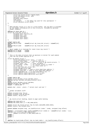```
361 struct dp_record_struct **pprev_hash;
362 struct dp_module_struct *mod;
363 spinlock_t lock;<br>364 unsigned long st
               unsigned long status;
365 long count;<br>366 int dbregno;
                                     36/* the debug reg used for this watchpoint */
367 struct dp_point_struct point;<br>368 };
   368 };
369
370 / *<br>371 *371 * When Dprobes stores it's log in a trace buffer, the log data is preceded
372 * by the header information as in this structure, followed by optional 
373 * header elements.
374<br>375375 #define DP_TRACE_HDR_ID 1
376 struct dp_trace_hdr_struct
377 unsigned short facility_id;
378 unsigned short len;<br>379 unsigned long mask;
               unsigned long mask;
380 unsigned short major;<br>381 unsigned short minor;
               unsigned short minor;
382 };
383
384 #ifdef CONFIG_SMP
                                      size of (struct dp\_trace\_hdr\_struct) + size of(int)386 #else
387 #define MIN_ST_SIZE sizeof(struct dp_trace_hdr_struct)
388 #endif
389
\frac{390}{390} /* Major number 0 is reserved for stack trace log record */<br>391 #define DP ST MAJOR 0x0000
391 #define DP_ST_MAJOR 0x0000
392 #define DP_ST_MINOR 0x0000
393
394<br>395
395 * This is the data structure that we maintain in kernel for each module
396 * that has any probes applied on it.
397 */
398 struct dp_module_struct {
399 struct dp_module_struct *next; /* link */<br>300 struct dp_module_struct *next; /* cmdline switche;
400 unsigned long flags; /* cmdline switches */<br>struct dp_record_struct * rec; /* array of dp_record_structs. */<br>unsigned long * lv; /* local variables */<br>struct inode * inode; /* for quicker access to inode */<br>int trace_i
405 struct dp_trace_hdr_struct hdr;<br>406 struct dp_pgm_struct pgm;<br>407 unsigned long base; /* used to store kmod base address */<br>408 unsigned long end; /* used to store kmod base address */<br>struct nameidata nd; /* to hold p
410 struct address_space_operations * ori_a_ops;
411 struct address_space_operations dp_a_ops;
412 };
413
414 #ifdef CONFIG_SMP
    extern struct dprobes_struct dprobes_set[];
416 #define dprobes dprobes_set[smp_processor_id()]
    417 #else
418 extern struct dprobes_struct dprobes;<br>419 #define dprobes set (&dprobes)
419 #define dprobes_set (&dprobes)
420 #endif /* CONFIG_SMP */
421
422 extern char _stext, _etext; /* kernel start and end */
423<br>424/*
425 * global variables stuff
426 */<br>427 ext
427 extern unsigned long *dp_gv;
    extern unsigned long dp_num_gv;
429 extern rwlock_t dp_gv_lock;
430
431<br>432
     * dp_record_struct hashing, based on page cache hashing.
433<br>434
    434 #define REC_HASH_BITS 12
435 #define REC_HASH_SIZE (1 << REC_HASH_BITS)
436
437 extern struct dp_record_struct *dp_rec_hash_table[REC_HASH_SIZE];
    extern rwlock_t dp_rechash_lock;
439
440 extern inline unsigned long _rec_hashfn(struct inode * inode, unsigned long offset)
441 {
442 #define i (((unsigned long) inode)/(sizeof(struct inode) & ~ (sizeof(struct inode) − 1)))
443 #define s(x) ((x)+((x)>>REC_HASH_BITS))<br>444 return s(i+offset) & (REC HASH
444 return s(i+offset) & (REC_HASH_SIZE−1);
    445 #undef i
446 #undef o
     447 #undef s
448 }
449
450 #define rec_hash(inode,offset) (dp_rec_hash_table + _rec_hashfn(inode,offset))
Registered Version: Dynamic Probes dprobes.h dprobes.h Exhibit 7.1−7 pg 5/7
```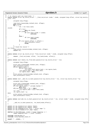```
451452 /* It returns with rec−>lock held. */
453 static inline struct dp_record_struct * __find_rec(struct inode * inode, unsigned long offset, struct dp_record_s
   truct *rec)
454 \n{455}unsigned long eflags;
456
457 read_lock_irqsave(&dp_rechash_lock, eflags);<br>458 goto inside;
458 goto inside;<br>
\begin{array}{ccc} 458 & \text{for} & (::) \end{array}459 for (;;) {
                    rec = rec->next_hash;
461 inside:
462 if (!rec)
463 goto not_found;<br>if (inode) {
                    if (inode)
+465 if (rec−>mod−>inode != inode)<br>466 continue;
466 continue;
467 }
468 else {
469 if (rec−>mod−>inode)
                                    470 continue;
471 }
472 if (rec−>point.offset == offset) {
473 spin_lock(&rec−>lock);<br>\frac{1}{474} break;
                    \frac{1}{2} break;
475 }
476 }
477 /* Found the record */
478 not_found:
           479 read_unlock_irqrestore(&dp_rechash_lock, eflags);
480 return rec;<br>481 }
481 }
482
483 static inline struct dp_record_struct *find_rec(struct inode * inode, unsigned long offset)
\begin{array}{cc}\n484 & \{ \\
485\n\end{array}* return __find_rec(inode, offset, *rec_hash(inode, offset));
486 }
487
488 static inline void remove_rec_from_hash_queue(struct dp_record_struct * rec)
489 {
490 unsigned long eflags;
491
492 write_lock_irqsave(&dp_rechash_lock, eflags);<br>493 spin lock(&rec->lock);
493 spin_lock(&rec->lock);<br>494 if(rec->pprev hash) {
494 if(rec−>pprev_hash) {
495 if(rec−>next_hash)
496 rec−>next_hash−>pprev_hash = rec−>pprev_hash;
497 *rec−>pprev_hash = rec−>next_hash;
498 rec−>pprev_hash = NULL;
499 }
500 write_unlock_irqrestore(&dp_rechash_lock, eflags);
501 spin_unlock(&rec−>lock);
   \rightarrow503
504 static inline void __add_rec_to_hash_queue(struct dp_record_struct * rec, struct dp_record_struct **p)
\begin{matrix} 505 \\ 506 \end{matrix}unsigned long eflags;
507
508 write_lock_irqsave(&dp_rechash_lock, eflags);<br>509 spin_lock(&rec->lock);
509 spin_lock(&rec−>lock);
510 if (rec−>pprev_hash) /* already hashed */
511 goto done;
512 if((rec−>next_hash = *p) != NULL)
                    513 (*p)−>pprev_hash = &rec−>next_hash;
514 *p = rec;
515 rec−>pprev_hash = p;
516 done:
           write_unlock_irqrestore(&dp_rechash_lock, eflags);
518 spin_unlock(&rec−>lock);
519 }
520
521 static inline void add_rec_to_hash_queue(struct dp_record_struct * rec, struct inode * inode, unsigned long offse
   t)
522 {
523 __add_rec_to_hash_queue(rec, rec_hash(inode,offset));
524 }
525
526 extern int dp_insmod(struct module *kmod);
527 extern int dp_remmod(struct module *kmod);
528 extern int dp_readpage(struct file *, struct page *);
529 extern int dp_writepage(struct page *page);
530
531 #define IS_COW_PAGE(page, inode) (!(page−>mapping) || \
            532 (page−>mapping−>host != (void *)inode)) 
533
534 #include <asm/dprobes.h>
535 #include <linux/dprobes_hooks.h>
536
537 #endif /* __KERNEL__ */
538
Registered Version: Dynamic Probes dprobes.h dprobes.h Exhibit 7.1−7 pg 6/7
```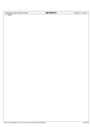Registered Version: Dynamic Probes **dprobes.h** Exhibit 7.1−7 pg 7/7

<sup>539</sup> **#endif**

./Dynamic\_probes/dprobes−v3.6.3−2.4.19\_CVS/usr/src/linux/include/linux/dprobes.h Page 28/32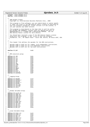<sup>1</sup> **#ifndef** \_LINUX\_DPROBES\_IN\_H <sup>2</sup> **#define** \_LINUX\_DPROBES\_IN\_H 3 <sup>4</sup> /\* <sup>5</sup> \* IBM Dynamic Probes <sup>6</sup> \* Copyright (c) International Business Machines Corp., 2000 <sup>7</sup> \* <sup>8</sup> \* This program is free software; you can redistribute it and/or modify <sup>9</sup> \* it under the terms of the GNU General Public License as published by 10 \* the Free Software Foundation; either version 2 of the License, or<br>11 \* (at your option) any later version. \* (at your option) any later version.  $\begin{array}{c} 12 \\ 13 \end{array}$ <sup>13</sup> \* This program is distributed in the hope that it will be useful,<br><sup>14</sup> \* but WITHOUT ANY WARRANTY; without even the implied warranty of <sup>14</sup> \* but WITHOUT ANY WARRANTY; without even the implied warranty of <sup>15</sup> \* MERCHANTABILITY or FITNESS FOR A PARTICULAR PURPOSE. See the <sup>16</sup> \* GNU General Public License for more details.  $17$ <br> $18$ <sup>18</sup> \* You should have received a copy of the GNU General Public License <sup>19</sup> \* along with this program; if not, write to the Free Software <sup>20</sup> \* Foundation, Inc., 59 Temple Place − Suite 330, Boston, MA 02111−1307, USA.  $21$ 22 23 /\*<br>24 \* \* This header file defines the opcodes for the RPN instructions. <sup>25</sup> \* <sup>26</sup> \* Opcodes 0x00 to 0xAF are for common, arch−independent instructions. <sup>27</sup> \* Opcodes 0xB0 to 0xDF are for arch−dependent instructions. <sup>28</sup> \* Opcodes 0xF1 to 0xFF are for two byte instructions. 29 30  $\frac{31}{31}$  **#define** DP\_NOP  $0 \times 00$ 32  $33 \\
 34$  $*$  RPN execution group.  $rac{35}{36}$ **#define** DP\_JMP 0x01<br> **#define** DP\_JLT 0x02 37 **#define** DP\_JLT 0x02<br>38 **#define** DP\_JLE 0x03 38 **#define** DP\_JLE 0x03<br>39 **#define** DP\_JGT 0x04 <sup>39</sup> **#define** DP\_JGT 0x04<br>40 **#define** DP JGE 0x05 **#define** DP\_JGE 0x05<br> **#define** DP JZ 0x06 41 **#define** DP\_JZ<br>42 **#define** DP\_JNZ 0x07  $\texttt{\#define} \texttt{DP\_JNZ}$  0x07<br>  $\texttt{\#define} \texttt{DP}$  LOOP 0x08 43 **#define** DP\_LOOP 0x08<br>44 **#define** DP CALL 0x09 44 **#define** DP\_CALL 0x09<br>45 **#define** DP\_RET 0x0a **#define** DP\_RET 0x0a<br> **#define** DP\_ABORT 0x0b 46 **#define** DP\_ABORT 0x0b<br>47 **#define** DP\_REM 0x0c 47 **#define** DP\_REM 0x0c<br>48 **#define** DP\_EXIT 0x0d <sup>48</sup> **#define** DP\_EXIT 0x0d<br><sup>49</sup> **#define** DP\_EXIT\_N 0x0e <sup>49</sup> **#define** DP\_EXIT\_N 0x0e #define DP\_SUSPEND 51 <sup>52</sup> /\* <sup>53</sup> \* Logging Group. <sup>54</sup> \*/ <sup>55</sup> **#define** DP\_RESUME 0x10 <sup>56</sup> **#define** DP\_SETMIN\_I 0x11 <sup>57</sup> **#define** DP\_SETMIN 0x12 <sup>58</sup> **#define** DP\_SETMAJ\_I 0x13 <sup>59</sup> **#define** DP\_SETMAJ 0x14 <sup>60</sup> **#define** DP\_LOG\_STR 0x15 <sup>61</sup> **#define** DP\_LOG\_MRF 0x17 <sup>62</sup> **#define** DP\_LOG\_I 0x1b 63  $64$ <sup>65</sup> \* Global Variable Group.  $66 + 7$ <br> $67 + 40e$ er and the DP\_ALLOC\_GV oxld<br> **68 #define** DP\_FREE GV 0x1d **#define** DP\_FREE\_GV 0x1d<br> **#define** DP\_FREE\_GVT 0x1e <sup>69</sup> **#define** DP\_FREE\_GVI 0x1e <sup>70</sup> **#define** DP\_PUSH\_GVI 0x1f <sup>71</sup> **#define** DP\_PUSH\_GV 0x20 72 **#define** DP\_POP\_GVI 0x21<br>
73 **#define** DP\_POP\_GV 0x22 73 **#define** DP\_POP\_GV<br>74 **#define** DP\_MOVE\_GVI 0x23 #define DP\_MOVE\_GVI <sup>75</sup> **#define** DP\_MOVE\_GV 0x24 <sup>76</sup> **#define** DP\_INC\_GVI 0x25 <sup>77</sup> **#define** DP\_INC\_GV 0x26 78 **#define** DP\_DEC\_GVI 0x27<br> **#define** DP\_DEC\_GV 0x28 #define DP\_DEC\_GV 80  $81$ 82 \* Local Variable Group.<br>83 \*/  $83 + 7$ <br> $84 + 40$ <sup>84</sup> **#define** DP\_PUSH\_LVI 0x29 <sup>85</sup> **#define** DP\_PUSH\_LV 0x2a <sup>86</sup> **#define** DP\_POP\_LVI 0x2b 87 **#define** DP\_POP\_LV 0x2c<br>
88 **#define** DP\_MOVE\_LVI 0x2d 88 **#define** DP\_MOVE\_LVI 0x2d<br>89 **#define** DP\_MOVE\_LV 0x2e #define DP\_MOVE\_LV Registered Version: Dynamic Probes **dprobes\_in.h** Exhibit 7.1–8 pg 1/3

<sup>90</sup> **#define** DP\_INC\_LVI 0x2f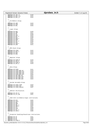|            | Registered Version: Dynamic Probes               |              | dprobes_in.h | Exhibit 7.1-8 pg 2/3 |
|------------|--------------------------------------------------|--------------|--------------|----------------------|
| 91         | #define DP_INC_LV                                | 0x30         |              |                      |
| 92<br>93   | #define DP_DEC_LVI<br>#define DP_DEC_LV          | 0x31<br>0x32 |              |                      |
| 94         |                                                  |              |              |                      |
| 95         | $/$ *                                            |              |              |                      |
| 96<br>97   | $^{\star}$<br>Arithmetic Group.<br>$^{\star}/$   |              |              |                      |
| 98         | #define DP_ADD                                   | 0x33         |              |                      |
| 99         | #define DP_SUB<br>#define DP_MUL                 | 0x34<br>0x35 |              |                      |
| 100<br>101 |                                                  |              |              |                      |
| 102        | $/$ *                                            |              |              |                      |
| 103<br>104 | * Logic Group.<br>$^*/$                          |              |              |                      |
| 105        | #define DP_NEG                                   | 0x36         |              |                      |
| 106        | #define DP_AND                                   | 0x37         |              |                      |
| 107<br>108 | #define DP_OR<br>#define DP_XOR                  | 0x38<br>0x39 |              |                      |
| 109        | #define DP_ROL_I                                 | 0x3a         |              |                      |
| 110        | #define DP_ROL                                   | 0x3b         |              |                      |
| 111<br>112 | #define DP_ROR_I<br>#define DP_ROR               | 0x3c<br>0x3d |              |                      |
| 113        | #define DP_SHL_I                                 | 0x3e         |              |                      |
| 114        | #define DP_SHL                                   | 0x3f         |              |                      |
| 115<br>116 | #define DP_SHR_I<br>#define DP_SHR               | 0x40<br>0x41 |              |                      |
| 117        |                                                  |              |              |                      |
| 118        | $/$ *                                            |              |              |                      |
| 119<br>120 | * RPN Stack Group.<br>$^*/$                      |              |              |                      |
| 121        | #define DP_XCHG                                  | 0x42         |              |                      |
| 122        | #define DP_DUP_I<br>#define DP_DUP               | 0x43<br>0x44 |              |                      |
| 123<br>124 | #define DP_ROS                                   | 0x45         |              |                      |
| 125        |                                                  |              |              |                      |
| 126<br>127 | $/$ *<br>* Register Group.                       |              |              |                      |
| 128        | $\star/$                                         |              |              |                      |
| 129        | #define DP_PUSH_R                                | 0x46         |              |                      |
| 130<br>131 | #define DP_POP_R<br>#define DP_PUSH_U            | 0x47<br>0x48 |              |                      |
| 132        | #define DP_POP_U                                 | 0x49         |              |                      |
| 133        |                                                  |              |              |                      |
| 134<br>135 | $/$ *<br>* Data Group.                           |              |              |                      |
| 136        | $^*/$                                            |              |              |                      |
| 137        | #define DP_PUSH<br>#define DP_PUSH_MEM_U8        | 0x4c<br>0x4d |              |                      |
| 138<br>139 | #define DP_PUSH_MEM_U16                          | 0x4e         |              |                      |
| 140        | #define DP_PUSH_MEM_U32                          | 0x4f         |              |                      |
| 141<br>142 | #define DP_PUSH_MEM_U64<br>#define DP_POP_MEM_U8 | 0x50<br>0x51 |              |                      |
| 143        | #define DP_POP_MEM_U16                           | 0x52         |              |                      |
| 144        | #define DP_POP_MEM_U32                           | 0x53         |              |                      |
| 145<br>146 | #define DP_POP_MEM_U64                           | 0x54         |              |                      |
| 147        | $/$ *                                            |              |              |                      |
| 148<br>149 | * System Variable Group.<br>$\star$ /            |              |              |                      |
|            | 150 #define DP_PUSH_TASK                         | 0x5d         |              |                      |
|            | 151 #define DP_PUSH_PID                          | 0x5e         |              |                      |
| 152<br>153 | #define DP_PUSH_PROCID                           | 0x5f         |              |                      |
| 154        | $/$ *                                            |              |              |                      |
| 155<br>156 | * Address Verification.<br>$\star/$              |              |              |                      |
|            | 157 #define DP_VFY_R                             | 0x60         |              |                      |
| 158        | #define DP_VFY_RW                                | 0x61         |              |                      |
| 159<br>160 | $/$ *                                            |              |              |                      |
| 161        | * Some more arithmetic/logic instructions.       |              |              |                      |
| 162        | $\star$ /<br>163 #define DP_DIV                  | 0x62         |              |                      |
|            | 164 #define DP_IDIV                              | 0x63         |              |                      |
|            | 165 #define DP_PBL<br>166 #define DP_PBR         | 0x64<br>0x65 |              |                      |
|            | 167 #define DP_PBL_I                             | 0x66         |              |                      |
|            | 168 #define DP_PBR_I                             | 0x67         |              |                      |
|            | 169 #define DP_PZL<br>170 #define DP_PZR         | 0x68<br>0x69 |              |                      |
|            | 171 #define DP_PZL_I                             | 0х6а         |              |                      |
|            | 172 #define DP_PZR_I                             | 0x6b         |              |                      |
| 173<br>174 | $/$ *                                            |              |              |                      |
| 175        | * Exception handling/Stacktrace instructions.    |              |              |                      |
| 176        | $^*/$<br>177 #define DP_SX                       | 0x6c         |              |                      |
|            | 178 #define DP_UX                                | 0x6d         |              |                      |
|            | 179 #define DP_RX                                | 0х6е         |              |                      |
|            | 180 #define DP_PUSH_X                            | 0x6f         |              |                      |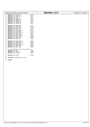|     | <b>Registered Version: Dynamic Probes</b> |      | dprobes in.h | Exhibit 7.1-8 pg 3/3 |
|-----|-------------------------------------------|------|--------------|----------------------|
| 181 | #define DP_PUSH_LP                        | 0x70 |              |                      |
| 182 | #define DP_PUSH_PLP                       | 0x71 |              |                      |
| 183 | #define DP POP LP                         | 0x72 |              |                      |
| 184 | #define DP_LOG_ST                         | 0x73 |              |                      |
| 185 | #define DP_PURGE_ST                       | 0x74 |              |                      |
| 186 | #define DP TRACE LV                       | 0x75 |              |                      |
| 187 | #define DP_TRACE_GV                       | 0x76 |              |                      |
| 188 | #define DP_TRACE_PV                       | 0x77 |              |                      |
| 189 |                                           |      |              |                      |
| 190 | #define DP PUSH SBP                       | 0x78 |              |                      |
| 191 | #define DP_POP_SBP                        | 0x79 |              |                      |
| 192 | #define DP_PUSH_TSP                       | 0x7a |              |                      |
| 193 | #define DP_POP_TSP                        | 0x7b |              |                      |
| 194 | #define DP PUSH SBP I                     | 0x7c |              |                      |
| 195 | #define DP_POP_SBP_I                      | 0x7d |              |                      |
| 196 | #define DP_PUSH_TSP_I                     | 0x7e |              |                      |
| 197 | #define DP_POP_TSP_I                      | 0x7f |              |                      |
| 198 | #define DP COPY SBP I                     | 0x80 |              |                      |
| 199 | #define DP_COPY_TSP_I                     | 0x81 |              |                      |
| 200 | #define DP PUSH STP                       | 0x82 |              |                      |
| 201 | #define DP_POP_STP                        | 0x83 |              |                      |
| 202 |                                           |      |              |                      |
| 203 | #define DP_SAVE_SBP                       | 0x84 |              |                      |
| 204 | #define DP RESTORE SBP                    | 0x85 |              |                      |
| 205 | #define DP SAVE TSP                       | 0x86 |              |                      |
| 206 | #define DP_RESTORE_TSP                    | 0x87 |              |                      |
| 207 | #define DP_COPY_SBP                       | 0x88 |              |                      |
| 208 | #define DP COPY TSP                       | 0x89 |              |                      |
| 209 |                                           |      |              |                      |
| 210 | /* stack based log instructions */        |      |              |                      |
| 211 | #define DP LOG                            | 0x8a |              |                      |
| 212 | #define DP LOG LV                         | 0x8b |              |                      |
| 213 | #define DP LOG GV                         | 0x8c |              |                      |
| 214 |                                           |      |              |                      |
| 215 | #define DP CALLK                          | 0x8d |              |                      |
| 216 |                                           |      |              |                      |
| 217 | #include <asm dprobes="" in.h=""></asm>   |      |              |                      |
| 218 |                                           |      |              |                      |

<sup>219</sup> **#endif**